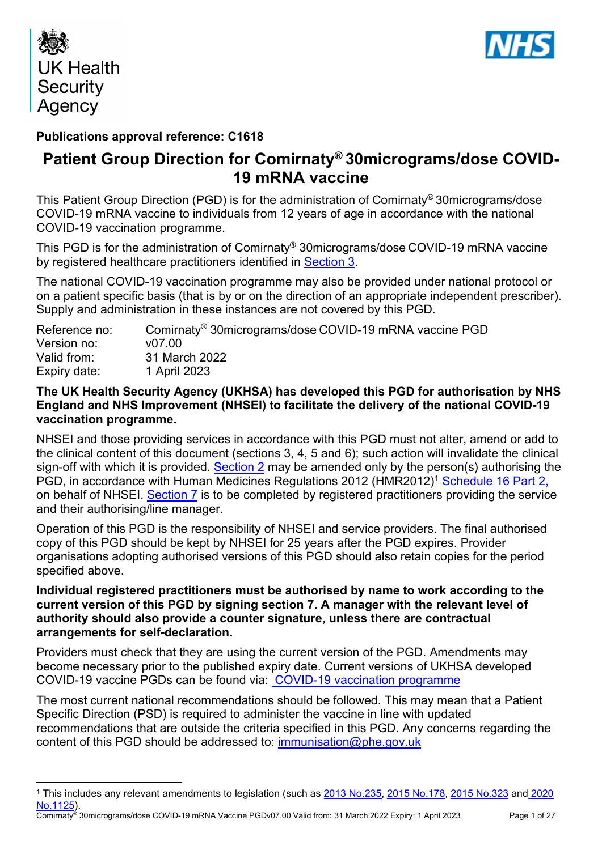



# **Publications approval reference: C1618**

# **Patient Group Direction for Comirnaty® 30micrograms/dose COVID-19 mRNA vaccine**

This Patient Group Direction (PGD) is for the administration of Comirnaty® 30micrograms/dose COVID-19 mRNA vaccine to individuals from 12 years of age in accordance with the national COVID-19 vaccination programme.

This PGD is for the administration of Comirnaty® 30micrograms/dose COVID-19 mRNA vaccine by registered healthcare practitioners identified in [Section 3.](#page-7-0)

The national COVID-19 vaccination programme may also be provided under national protocol or on a patient specific basis (that is by or on the direction of an appropriate independent prescriber). Supply and administration in these instances are not covered by this PGD.

| Reference no: | Comirnaty <sup>®</sup> 30micrograms/dose COVID-19 mRNA vaccine PGD |
|---------------|--------------------------------------------------------------------|
| Version no:   | v0700                                                              |
| Valid from:   | 31 March 2022                                                      |
| Expiry date:  | 1 April 2023                                                       |

### **The UK Health Security Agency (UKHSA) has developed this PGD for authorisation by NHS England and NHS Improvement (NHSEI) to facilitate the delivery of the national COVID-19 vaccination programme.**

NHSEI and those providing services in accordance with this PGD must not alter, amend or add to the clinical content of this document (sections 3, 4, 5 and 6); such action will invalidate the clinical sign-off with which it is provided. [Section 2](#page-5-0) may be amended only by the person(s) authorising the PGD, in accordance with Human Medicines Regulations 2012 (HMR2012)<sup>1</sup> [Schedule 16 Part 2,](http://www.legislation.gov.uk/uksi/2012/1916/schedule/16/part/2/made) on behalf of NHSEI. [Section 7](#page-24-0) is to be completed by registered practitioners providing the service and their authorising/line manager.

Operation of this PGD is the responsibility of NHSEI and service providers. The final authorised copy of this PGD should be kept by NHSEI for 25 years after the PGD expires. Provider organisations adopting authorised versions of this PGD should also retain copies for the period specified above.

### **Individual registered practitioners must be authorised by name to work according to the current version of this PGD by signing section 7. A manager with the relevant level of authority should also provide a counter signature, unless there are contractual arrangements for self-declaration.**

Providers must check that they are using the current version of the PGD. Amendments may become necessary prior to the published expiry date. Current versions of UKHSA developed COVID-19 vaccine PGDs can be found via: [COVID-19 vaccination programme](https://www.gov.uk/government/collections/covid-19-vaccination-programme)

The most current national recommendations should be followed. This may mean that a Patient Specific Direction (PSD) is required to administer the vaccine in line with updated recommendations that are outside the criteria specified in this PGD. Any concerns regarding the content of this PGD should be addressed to: [immunisation@phe.gov.uk](mailto:immunisation@phe.gov.uk)

Comirnaty® 30micrograms/dose COVID-19 mRNA Vaccine PGDv07.00 Valid from: 31 March 2022 Expiry: 1 April 2023 Page 1 of 27

<sup>1</sup> This includes any relevant amendments to legislation (such as [2013 No.235,](http://www.legislation.gov.uk/uksi/2013/235/contents/made) [2015 No.178,](http://www.legislation.gov.uk/nisr/2015/178/contents/made) [2015 No.323](http://www.legislation.gov.uk/uksi/2015/323/contents/made) and [2020](https://www.legislation.gov.uk/uksi/2020/1125/contents/made)  [No.1125\)](https://www.legislation.gov.uk/uksi/2020/1125/contents/made).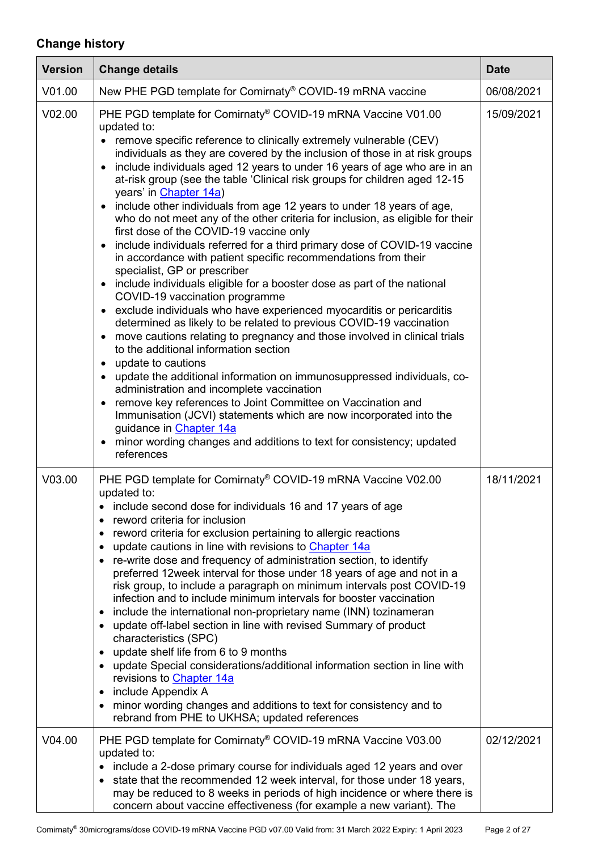# **Change history**

| <b>Version</b> | <b>Change details</b>                                                                                                                                                                                                                                                                                                                                                                                                                                                                                                                                                                                                                                                                                                                                                                                                                                                                                                                                                                                                                                                                                                                                                                                                                                                                                                                                                                                                                                                                                                                                                                                                   | <b>Date</b> |
|----------------|-------------------------------------------------------------------------------------------------------------------------------------------------------------------------------------------------------------------------------------------------------------------------------------------------------------------------------------------------------------------------------------------------------------------------------------------------------------------------------------------------------------------------------------------------------------------------------------------------------------------------------------------------------------------------------------------------------------------------------------------------------------------------------------------------------------------------------------------------------------------------------------------------------------------------------------------------------------------------------------------------------------------------------------------------------------------------------------------------------------------------------------------------------------------------------------------------------------------------------------------------------------------------------------------------------------------------------------------------------------------------------------------------------------------------------------------------------------------------------------------------------------------------------------------------------------------------------------------------------------------------|-------------|
| V01.00         | New PHE PGD template for Comirnaty <sup>®</sup> COVID-19 mRNA vaccine                                                                                                                                                                                                                                                                                                                                                                                                                                                                                                                                                                                                                                                                                                                                                                                                                                                                                                                                                                                                                                                                                                                                                                                                                                                                                                                                                                                                                                                                                                                                                   | 06/08/2021  |
| V02.00         | PHE PGD template for Comirnaty® COVID-19 mRNA Vaccine V01.00<br>updated to:<br>• remove specific reference to clinically extremely vulnerable (CEV)<br>individuals as they are covered by the inclusion of those in at risk groups<br>include individuals aged 12 years to under 16 years of age who are in an<br>at-risk group (see the table 'Clinical risk groups for children aged 12-15<br>years' in Chapter 14a)<br>• include other individuals from age 12 years to under 18 years of age,<br>who do not meet any of the other criteria for inclusion, as eligible for their<br>first dose of the COVID-19 vaccine only<br>include individuals referred for a third primary dose of COVID-19 vaccine<br>in accordance with patient specific recommendations from their<br>specialist, GP or prescriber<br>• include individuals eligible for a booster dose as part of the national<br>COVID-19 vaccination programme<br>• exclude individuals who have experienced myocarditis or pericarditis<br>determined as likely to be related to previous COVID-19 vaccination<br>move cautions relating to pregnancy and those involved in clinical trials<br>to the additional information section<br>• update to cautions<br>• update the additional information on immunosuppressed individuals, co-<br>administration and incomplete vaccination<br>remove key references to Joint Committee on Vaccination and<br>Immunisation (JCVI) statements which are now incorporated into the<br>guidance in Chapter 14a<br>minor wording changes and additions to text for consistency; updated<br>$\bullet$<br>references | 15/09/2021  |
| V03.00         | PHE PGD template for Comirnaty® COVID-19 mRNA Vaccine V02.00<br>updated to:<br>• include second dose for individuals 16 and 17 years of age<br>reword criteria for inclusion<br>$\bullet$<br>• reword criteria for exclusion pertaining to allergic reactions<br>update cautions in line with revisions to Chapter 14a<br>• re-write dose and frequency of administration section, to identify<br>preferred 12 week interval for those under 18 years of age and not in a<br>risk group, to include a paragraph on minimum intervals post COVID-19<br>infection and to include minimum intervals for booster vaccination<br>include the international non-proprietary name (INN) tozinameran<br>٠<br>update off-label section in line with revised Summary of product<br>characteristics (SPC)<br>update shelf life from 6 to 9 months<br>$\bullet$<br>• update Special considerations/additional information section in line with<br>revisions to <b>Chapter 14a</b><br>include Appendix A<br>٠<br>minor wording changes and additions to text for consistency and to<br>rebrand from PHE to UKHSA; updated references                                                                                                                                                                                                                                                                                                                                                                                                                                                                                                 | 18/11/2021  |
| V04.00         | PHE PGD template for Comirnaty® COVID-19 mRNA Vaccine V03.00<br>updated to:<br>• include a 2-dose primary course for individuals aged 12 years and over<br>• state that the recommended 12 week interval, for those under 18 years,<br>may be reduced to 8 weeks in periods of high incidence or where there is<br>concern about vaccine effectiveness (for example a new variant). The                                                                                                                                                                                                                                                                                                                                                                                                                                                                                                                                                                                                                                                                                                                                                                                                                                                                                                                                                                                                                                                                                                                                                                                                                                 | 02/12/2021  |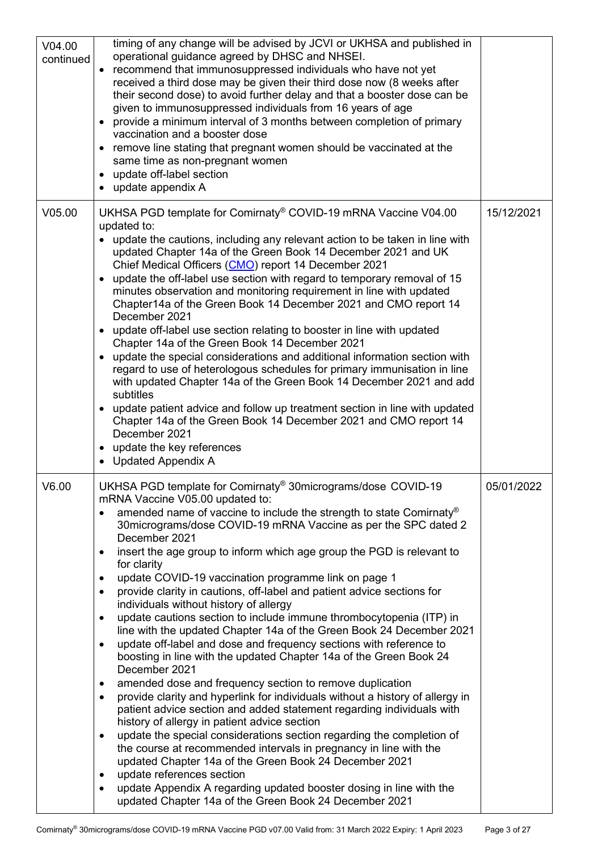| V04.00<br>continued | timing of any change will be advised by JCVI or UKHSA and published in<br>operational guidance agreed by DHSC and NHSEI.<br>• recommend that immunosuppressed individuals who have not yet<br>received a third dose may be given their third dose now (8 weeks after<br>their second dose) to avoid further delay and that a booster dose can be<br>given to immunosuppressed individuals from 16 years of age<br>• provide a minimum interval of 3 months between completion of primary<br>vaccination and a booster dose<br>• remove line stating that pregnant women should be vaccinated at the<br>same time as non-pregnant women<br>• update off-label section<br>update appendix A                                                                                                                                                                                                                                                                                                                                                                                                                                                                                                                                                                                                                                                                                                                                                                                                                                                                                      |            |
|---------------------|--------------------------------------------------------------------------------------------------------------------------------------------------------------------------------------------------------------------------------------------------------------------------------------------------------------------------------------------------------------------------------------------------------------------------------------------------------------------------------------------------------------------------------------------------------------------------------------------------------------------------------------------------------------------------------------------------------------------------------------------------------------------------------------------------------------------------------------------------------------------------------------------------------------------------------------------------------------------------------------------------------------------------------------------------------------------------------------------------------------------------------------------------------------------------------------------------------------------------------------------------------------------------------------------------------------------------------------------------------------------------------------------------------------------------------------------------------------------------------------------------------------------------------------------------------------------------------|------------|
| V05.00              | UKHSA PGD template for Comirnaty <sup>®</sup> COVID-19 mRNA Vaccine V04.00<br>updated to:<br>• update the cautions, including any relevant action to be taken in line with<br>updated Chapter 14a of the Green Book 14 December 2021 and UK<br>Chief Medical Officers (CMO) report 14 December 2021<br>• update the off-label use section with regard to temporary removal of 15<br>minutes observation and monitoring requirement in line with updated<br>Chapter14a of the Green Book 14 December 2021 and CMO report 14<br>December 2021<br>• update off-label use section relating to booster in line with updated<br>Chapter 14a of the Green Book 14 December 2021<br>• update the special considerations and additional information section with<br>regard to use of heterologous schedules for primary immunisation in line<br>with updated Chapter 14a of the Green Book 14 December 2021 and add<br>subtitles<br>• update patient advice and follow up treatment section in line with updated<br>Chapter 14a of the Green Book 14 December 2021 and CMO report 14<br>December 2021<br>• update the key references<br>• Updated Appendix A                                                                                                                                                                                                                                                                                                                                                                                                                            | 15/12/2021 |
| V6.00               | UKHSA PGD template for Comirnaty® 30micrograms/dose COVID-19<br>mRNA Vaccine V05.00 updated to:<br>amended name of vaccine to include the strength to state Comirnaty®<br>30 micrograms/dose COVID-19 mRNA Vaccine as per the SPC dated 2<br>December 2021<br>insert the age group to inform which age group the PGD is relevant to<br>$\bullet$<br>for clarity<br>update COVID-19 vaccination programme link on page 1<br>$\bullet$<br>provide clarity in cautions, off-label and patient advice sections for<br>$\bullet$<br>individuals without history of allergy<br>update cautions section to include immune thrombocytopenia (ITP) in<br>$\bullet$<br>line with the updated Chapter 14a of the Green Book 24 December 2021<br>update off-label and dose and frequency sections with reference to<br>$\bullet$<br>boosting in line with the updated Chapter 14a of the Green Book 24<br>December 2021<br>amended dose and frequency section to remove duplication<br>٠<br>provide clarity and hyperlink for individuals without a history of allergy in<br>patient advice section and added statement regarding individuals with<br>history of allergy in patient advice section<br>update the special considerations section regarding the completion of<br>$\bullet$<br>the course at recommended intervals in pregnancy in line with the<br>updated Chapter 14a of the Green Book 24 December 2021<br>update references section<br>٠<br>update Appendix A regarding updated booster dosing in line with the<br>updated Chapter 14a of the Green Book 24 December 2021 | 05/01/2022 |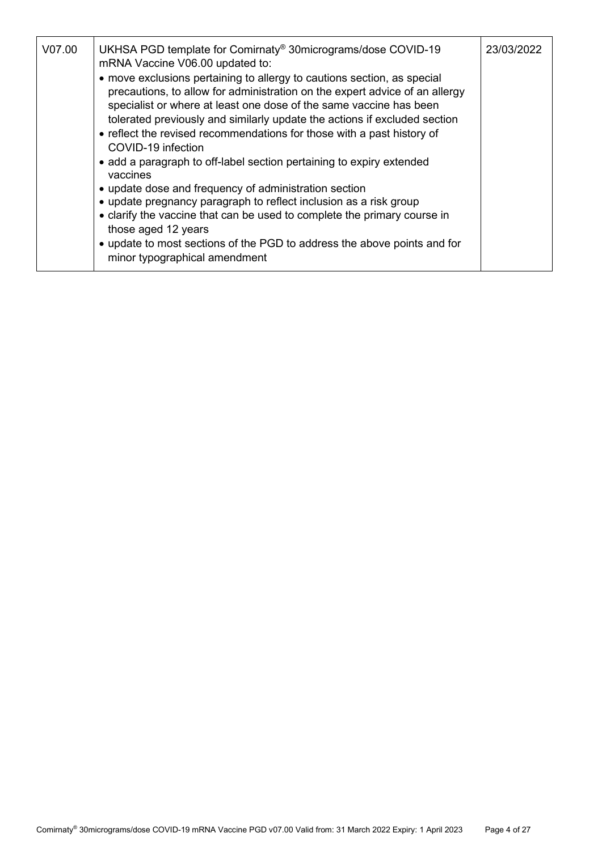| V07.00 | UKHSA PGD template for Comirnaty <sup>®</sup> 30micrograms/dose COVID-19<br>mRNA Vaccine V06.00 updated to:                                                                                                                                                                                                                                                                         | 23/03/2022 |
|--------|-------------------------------------------------------------------------------------------------------------------------------------------------------------------------------------------------------------------------------------------------------------------------------------------------------------------------------------------------------------------------------------|------------|
|        | • move exclusions pertaining to allergy to cautions section, as special<br>precautions, to allow for administration on the expert advice of an allergy<br>specialist or where at least one dose of the same vaccine has been<br>tolerated previously and similarly update the actions if excluded section<br>• reflect the revised recommendations for those with a past history of |            |
|        | COVID-19 infection                                                                                                                                                                                                                                                                                                                                                                  |            |
|        | • add a paragraph to off-label section pertaining to expiry extended<br>vaccines                                                                                                                                                                                                                                                                                                    |            |
|        | • update dose and frequency of administration section                                                                                                                                                                                                                                                                                                                               |            |
|        | • update pregnancy paragraph to reflect inclusion as a risk group                                                                                                                                                                                                                                                                                                                   |            |
|        | • clarify the vaccine that can be used to complete the primary course in<br>those aged 12 years                                                                                                                                                                                                                                                                                     |            |
|        | • update to most sections of the PGD to address the above points and for<br>minor typographical amendment                                                                                                                                                                                                                                                                           |            |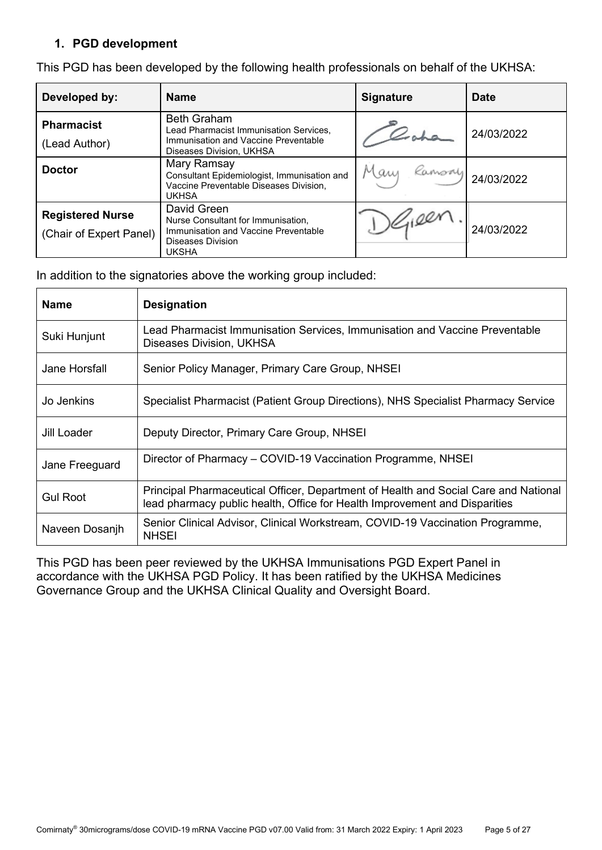### **1. PGD development**

| Developed by:                                      | <b>Name</b>                                                                                                                      | <b>Signature</b> | <b>Date</b> |
|----------------------------------------------------|----------------------------------------------------------------------------------------------------------------------------------|------------------|-------------|
| <b>Pharmacist</b><br>(Lead Author)                 | <b>Beth Graham</b><br>Lead Pharmacist Immunisation Services,<br>Immunisation and Vaccine Preventable<br>Diseases Division, UKHSA |                  | 24/03/2022  |
| <b>Doctor</b>                                      | Mary Ramsay<br>Consultant Epidemiologist, Immunisation and<br>Vaccine Preventable Diseases Division,<br>UKHSA                    | Many<br>Kamony   | 24/03/2022  |
| <b>Registered Nurse</b><br>(Chair of Expert Panel) | David Green<br>Nurse Consultant for Immunisation,<br>Immunisation and Vaccine Preventable<br>Diseases Division<br>UKSHA          |                  | 24/03/2022  |

This PGD has been developed by the following health professionals on behalf of the UKHSA:

In addition to the signatories above the working group included:

| <b>Name</b>     | <b>Designation</b>                                                                                                                                                |
|-----------------|-------------------------------------------------------------------------------------------------------------------------------------------------------------------|
| Suki Hunjunt    | Lead Pharmacist Immunisation Services, Immunisation and Vaccine Preventable<br>Diseases Division, UKHSA                                                           |
| Jane Horsfall   | Senior Policy Manager, Primary Care Group, NHSEI                                                                                                                  |
| Jo Jenkins      | Specialist Pharmacist (Patient Group Directions), NHS Specialist Pharmacy Service                                                                                 |
| Jill Loader     | Deputy Director, Primary Care Group, NHSEI                                                                                                                        |
| Jane Freeguard  | Director of Pharmacy – COVID-19 Vaccination Programme, NHSEI                                                                                                      |
| <b>Gul Root</b> | Principal Pharmaceutical Officer, Department of Health and Social Care and National<br>lead pharmacy public health, Office for Health Improvement and Disparities |
| Naveen Dosanjh  | Senior Clinical Advisor, Clinical Workstream, COVID-19 Vaccination Programme,<br><b>NHSEI</b>                                                                     |

This PGD has been peer reviewed by the UKHSA Immunisations PGD Expert Panel in accordance with the UKHSA PGD Policy. It has been ratified by the UKHSA Medicines Governance Group and the UKHSA Clinical Quality and Oversight Board.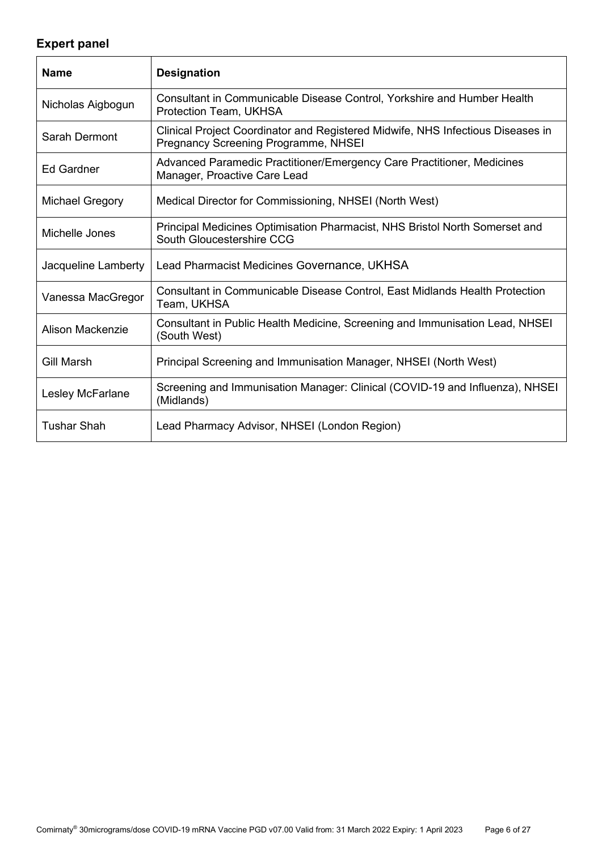# **Expert panel**

<span id="page-5-0"></span>

| <b>Name</b>             | <b>Designation</b>                                                                                                      |
|-------------------------|-------------------------------------------------------------------------------------------------------------------------|
| Nicholas Aigbogun       | Consultant in Communicable Disease Control, Yorkshire and Humber Health<br>Protection Team, UKHSA                       |
| Sarah Dermont           | Clinical Project Coordinator and Registered Midwife, NHS Infectious Diseases in<br>Pregnancy Screening Programme, NHSEI |
| <b>Ed Gardner</b>       | Advanced Paramedic Practitioner/Emergency Care Practitioner, Medicines<br>Manager, Proactive Care Lead                  |
| <b>Michael Gregory</b>  | Medical Director for Commissioning, NHSEI (North West)                                                                  |
| Michelle Jones          | Principal Medicines Optimisation Pharmacist, NHS Bristol North Somerset and<br>South Gloucestershire CCG                |
| Jacqueline Lamberty     | Lead Pharmacist Medicines Governance, UKHSA                                                                             |
| Vanessa MacGregor       | Consultant in Communicable Disease Control, East Midlands Health Protection<br>Team, UKHSA                              |
| <b>Alison Mackenzie</b> | Consultant in Public Health Medicine, Screening and Immunisation Lead, NHSEI<br>(South West)                            |
| <b>Gill Marsh</b>       | Principal Screening and Immunisation Manager, NHSEI (North West)                                                        |
| Lesley McFarlane        | Screening and Immunisation Manager: Clinical (COVID-19 and Influenza), NHSEI<br>(Midlands)                              |
| <b>Tushar Shah</b>      | Lead Pharmacy Advisor, NHSEI (London Region)                                                                            |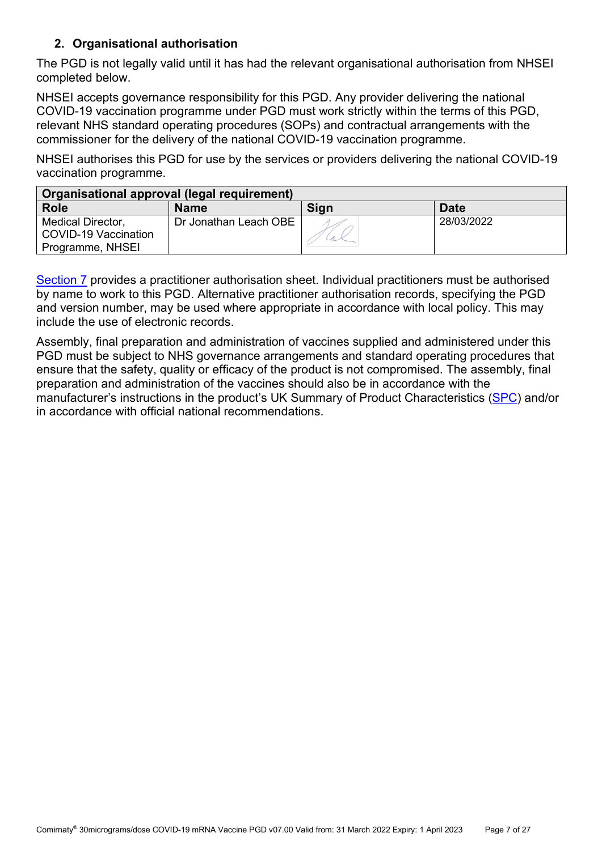## **2. Organisational authorisation**

The PGD is not legally valid until it has had the relevant organisational authorisation from NHSEI completed below.

NHSEI accepts governance responsibility for this PGD. Any provider delivering the national COVID-19 vaccination programme under PGD must work strictly within the terms of this PGD, relevant NHS standard operating procedures (SOPs) and contractual arrangements with the commissioner for the delivery of the national COVID-19 vaccination programme.

NHSEI authorises this PGD for use by the services or providers delivering the national COVID-19 vaccination programme.

| Organisational approval (legal requirement) |                       |      |             |
|---------------------------------------------|-----------------------|------|-------------|
| <b>Role</b>                                 | <b>Name</b>           | Sign | <b>Date</b> |
| <b>Medical Director,</b>                    | Dr Jonathan Leach OBE |      | 28/03/2022  |
| COVID-19 Vaccination                        |                       |      |             |
| Programme, NHSEI                            |                       |      |             |

[Section 7](#page-24-0) provides a practitioner authorisation sheet. Individual practitioners must be authorised by name to work to this PGD. Alternative practitioner authorisation records, specifying the PGD and version number, may be used where appropriate in accordance with local policy. This may include the use of electronic records.

Assembly, final preparation and administration of vaccines supplied and administered under this PGD must be subject to NHS governance arrangements and standard operating procedures that ensure that the safety, quality or efficacy of the product is not compromised. The assembly, final preparation and administration of the vaccines should also be in accordance with the manufacturer's instructions in the product's UK Summary of Product Characteristics [\(SPC\)](https://www.medicines.org.uk/emc/product/12740) and/or in accordance with official national recommendations.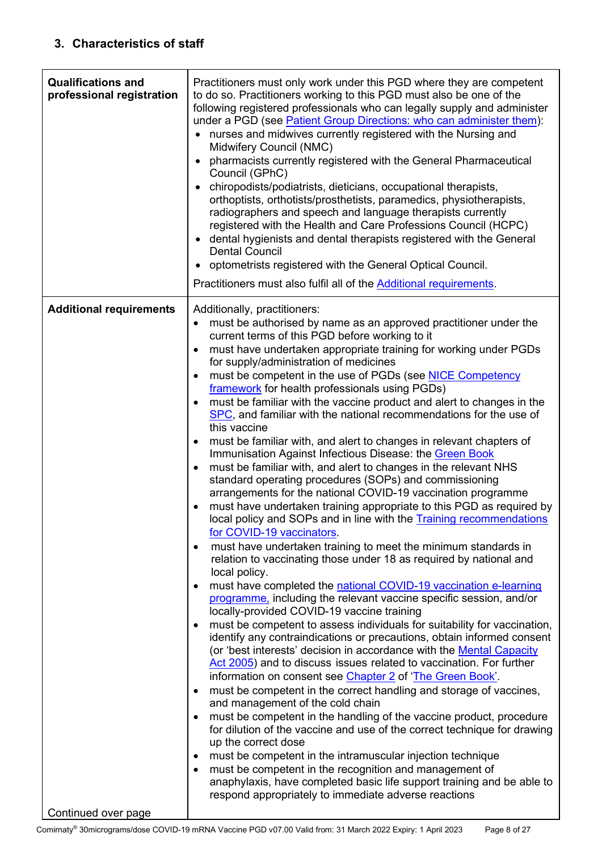<span id="page-7-1"></span><span id="page-7-0"></span>

| to do so. Practitioners working to this PGD must also be one of the<br>professional registration | following registered professionals who can legally supply and administer<br>under a PGD (see Patient Group Directions: who can administer them):<br>nurses and midwives currently registered with the Nursing and<br>$\bullet$<br>Midwifery Council (NMC)<br>pharmacists currently registered with the General Pharmaceutical<br>Council (GPhC)<br>chiropodists/podiatrists, dieticians, occupational therapists,<br>$\bullet$<br>orthoptists, orthotists/prosthetists, paramedics, physiotherapists,<br>radiographers and speech and language therapists currently<br>registered with the Health and Care Professions Council (HCPC)<br>dental hygienists and dental therapists registered with the General<br>$\bullet$<br><b>Dental Council</b><br>optometrists registered with the General Optical Council.<br>Practitioners must also fulfil all of the Additional requirements.                                                                                                                                                                                                                                                                                                                                                                                                                                                                                                                                                                                                                                                                                                                                                                                                                                                                                                                                                                                                                                                                                                                                                                                                                                                                                                                                                                                                                                                                                                                                                               |
|--------------------------------------------------------------------------------------------------|-----------------------------------------------------------------------------------------------------------------------------------------------------------------------------------------------------------------------------------------------------------------------------------------------------------------------------------------------------------------------------------------------------------------------------------------------------------------------------------------------------------------------------------------------------------------------------------------------------------------------------------------------------------------------------------------------------------------------------------------------------------------------------------------------------------------------------------------------------------------------------------------------------------------------------------------------------------------------------------------------------------------------------------------------------------------------------------------------------------------------------------------------------------------------------------------------------------------------------------------------------------------------------------------------------------------------------------------------------------------------------------------------------------------------------------------------------------------------------------------------------------------------------------------------------------------------------------------------------------------------------------------------------------------------------------------------------------------------------------------------------------------------------------------------------------------------------------------------------------------------------------------------------------------------------------------------------------------------------------------------------------------------------------------------------------------------------------------------------------------------------------------------------------------------------------------------------------------------------------------------------------------------------------------------------------------------------------------------------------------------------------------------------------------------------------------------------|
| <b>Additional requirements</b><br>Continued over page                                            | Additionally, practitioners:<br>must be authorised by name as an approved practitioner under the<br>$\bullet$<br>current terms of this PGD before working to it<br>must have undertaken appropriate training for working under PGDs<br>٠<br>for supply/administration of medicines<br>must be competent in the use of PGDs (see NICE Competency<br>$\bullet$<br>framework for health professionals using PGDs)<br>must be familiar with the vaccine product and alert to changes in the<br>$\bullet$<br>SPC, and familiar with the national recommendations for the use of<br>this vaccine<br>must be familiar with, and alert to changes in relevant chapters of<br>٠<br>Immunisation Against Infectious Disease: the Green Book<br>must be familiar with, and alert to changes in the relevant NHS<br>$\bullet$<br>standard operating procedures (SOPs) and commissioning<br>arrangements for the national COVID-19 vaccination programme<br>must have undertaken training appropriate to this PGD as required by<br>local policy and SOPs and in line with the Training recommendations<br>for COVID-19 vaccinators.<br>must have undertaken training to meet the minimum standards in<br>٠<br>relation to vaccinating those under 18 as required by national and<br>local policy.<br>must have completed the national COVID-19 vaccination e-learning<br>٠<br>programme, including the relevant vaccine specific session, and/or<br>locally-provided COVID-19 vaccine training<br>must be competent to assess individuals for suitability for vaccination,<br>$\bullet$<br>identify any contraindications or precautions, obtain informed consent<br>(or 'best interests' decision in accordance with the Mental Capacity<br>Act 2005) and to discuss issues related to vaccination. For further<br>information on consent see Chapter 2 of 'The Green Book'.<br>must be competent in the correct handling and storage of vaccines,<br>$\bullet$<br>and management of the cold chain<br>must be competent in the handling of the vaccine product, procedure<br>$\bullet$<br>for dilution of the vaccine and use of the correct technique for drawing<br>up the correct dose<br>must be competent in the intramuscular injection technique<br>٠<br>must be competent in the recognition and management of<br>٠<br>anaphylaxis, have completed basic life support training and be able to<br>respond appropriately to immediate adverse reactions |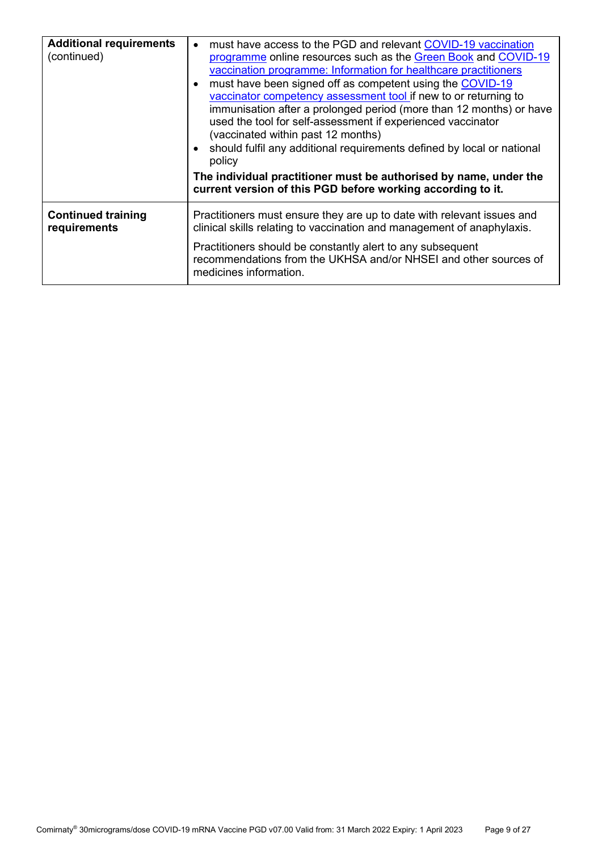| <b>Additional requirements</b><br>(continued) | must have access to the PGD and relevant COVID-19 vaccination<br>$\bullet$<br>programme online resources such as the Green Book and COVID-19<br>vaccination programme: Information for healthcare practitioners<br>must have been signed off as competent using the COVID-19<br>vaccinator competency assessment tool if new to or returning to<br>immunisation after a prolonged period (more than 12 months) or have<br>used the tool for self-assessment if experienced vaccinator<br>(vaccinated within past 12 months)<br>should fulfil any additional requirements defined by local or national<br>policy<br>The individual practitioner must be authorised by name, under the<br>current version of this PGD before working according to it. |  |
|-----------------------------------------------|-----------------------------------------------------------------------------------------------------------------------------------------------------------------------------------------------------------------------------------------------------------------------------------------------------------------------------------------------------------------------------------------------------------------------------------------------------------------------------------------------------------------------------------------------------------------------------------------------------------------------------------------------------------------------------------------------------------------------------------------------------|--|
| <b>Continued training</b><br>requirements     | Practitioners must ensure they are up to date with relevant issues and<br>clinical skills relating to vaccination and management of anaphylaxis.                                                                                                                                                                                                                                                                                                                                                                                                                                                                                                                                                                                                    |  |
|                                               | Practitioners should be constantly alert to any subsequent<br>recommendations from the UKHSA and/or NHSEI and other sources of<br>medicines information.                                                                                                                                                                                                                                                                                                                                                                                                                                                                                                                                                                                            |  |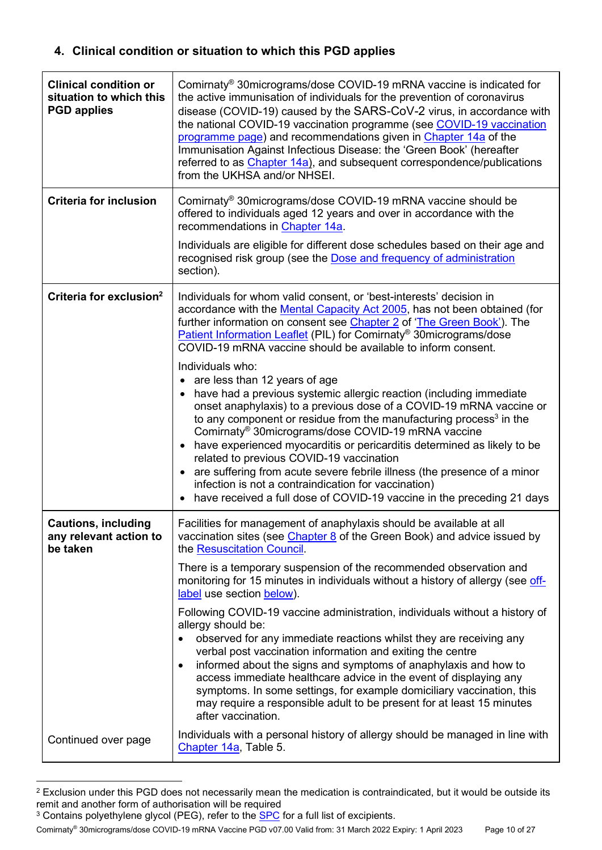## **4. Clinical condition or situation to which this PGD applies**

| <b>Clinical condition or</b><br>situation to which this<br><b>PGD applies</b> | Comirnaty <sup>®</sup> 30micrograms/dose COVID-19 mRNA vaccine is indicated for<br>the active immunisation of individuals for the prevention of coronavirus<br>disease (COVID-19) caused by the SARS-CoV-2 virus, in accordance with<br>the national COVID-19 vaccination programme (see COVID-19 vaccination<br>programme page) and recommendations given in Chapter 14a of the<br>Immunisation Against Infectious Disease: the 'Green Book' (hereafter<br>referred to as Chapter 14a), and subsequent correspondence/publications<br>from the UKHSA and/or NHSEI.                                                                                                                                                                                                                                                                                                                                                                                                                                                                                                           |
|-------------------------------------------------------------------------------|-------------------------------------------------------------------------------------------------------------------------------------------------------------------------------------------------------------------------------------------------------------------------------------------------------------------------------------------------------------------------------------------------------------------------------------------------------------------------------------------------------------------------------------------------------------------------------------------------------------------------------------------------------------------------------------------------------------------------------------------------------------------------------------------------------------------------------------------------------------------------------------------------------------------------------------------------------------------------------------------------------------------------------------------------------------------------------|
| <b>Criteria for inclusion</b>                                                 | Comirnaty <sup>®</sup> 30micrograms/dose COVID-19 mRNA vaccine should be<br>offered to individuals aged 12 years and over in accordance with the<br>recommendations in Chapter 14a.                                                                                                                                                                                                                                                                                                                                                                                                                                                                                                                                                                                                                                                                                                                                                                                                                                                                                           |
|                                                                               | Individuals are eligible for different dose schedules based on their age and<br>recognised risk group (see the Dose and frequency of administration<br>section).                                                                                                                                                                                                                                                                                                                                                                                                                                                                                                                                                                                                                                                                                                                                                                                                                                                                                                              |
| Criteria for exclusion <sup>2</sup>                                           | Individuals for whom valid consent, or 'best-interests' decision in<br>accordance with the Mental Capacity Act 2005, has not been obtained (for<br>further information on consent see Chapter 2 of 'The Green Book'). The<br>Patient Information Leaflet (PIL) for Comirnaty <sup>®</sup> 30micrograms/dose<br>COVID-19 mRNA vaccine should be available to inform consent.<br>Individuals who:<br>• are less than 12 years of age<br>have had a previous systemic allergic reaction (including immediate<br>onset anaphylaxis) to a previous dose of a COVID-19 mRNA vaccine or<br>to any component or residue from the manufacturing process <sup>3</sup> in the<br>Comirnaty <sup>®</sup> 30micrograms/dose COVID-19 mRNA vaccine<br>• have experienced myocarditis or pericarditis determined as likely to be<br>related to previous COVID-19 vaccination<br>• are suffering from acute severe febrile illness (the presence of a minor<br>infection is not a contraindication for vaccination)<br>have received a full dose of COVID-19 vaccine in the preceding 21 days |
| <b>Cautions, including</b><br>any relevant action to<br>be taken              | Facilities for management of anaphylaxis should be available at all<br>vaccination sites (see <i>Chapter 8</i> of the Green Book) and advice issued by<br>the Resuscitation Council.                                                                                                                                                                                                                                                                                                                                                                                                                                                                                                                                                                                                                                                                                                                                                                                                                                                                                          |
|                                                                               | There is a temporary suspension of the recommended observation and<br>monitoring for 15 minutes in individuals without a history of allergy (see off-<br>label use section below).                                                                                                                                                                                                                                                                                                                                                                                                                                                                                                                                                                                                                                                                                                                                                                                                                                                                                            |
|                                                                               | Following COVID-19 vaccine administration, individuals without a history of<br>allergy should be:<br>observed for any immediate reactions whilst they are receiving any<br>verbal post vaccination information and exiting the centre<br>informed about the signs and symptoms of anaphylaxis and how to<br>$\bullet$<br>access immediate healthcare advice in the event of displaying any<br>symptoms. In some settings, for example domiciliary vaccination, this<br>may require a responsible adult to be present for at least 15 minutes<br>after vaccination.                                                                                                                                                                                                                                                                                                                                                                                                                                                                                                            |
| Continued over page                                                           | Individuals with a personal history of allergy should be managed in line with<br>Chapter 14a, Table 5.                                                                                                                                                                                                                                                                                                                                                                                                                                                                                                                                                                                                                                                                                                                                                                                                                                                                                                                                                                        |

<sup>&</sup>lt;sup>2</sup> Exclusion under this PGD does not necessarily mean the medication is contraindicated, but it would be outside its remit and another form of authorisation will be required

Comirnaty® 30micrograms/dose COVID-19 mRNA Vaccine PGD v07.00 Valid from: 31 March 2022 Expiry: 1 April 2023 Page 10 of 27

<sup>&</sup>lt;sup>3</sup> Contains polyethylene glycol (PEG), refer to the <u>SPC</u> for a full list of excipients.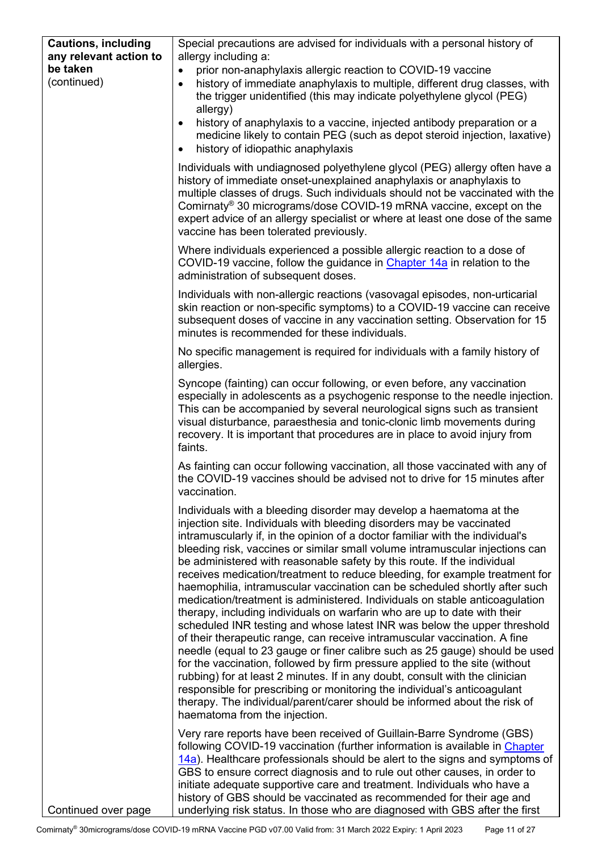| <b>Cautions, including</b><br>any relevant action to | Special precautions are advised for individuals with a personal history of<br>allergy including a:                                                                                                                                                                                                                                                                                                                                                                                                                                                                                                                                                                                                                                                                                                                                                                                                                                                                                                                                                                                                                                                                                                                                                                                                                |
|------------------------------------------------------|-------------------------------------------------------------------------------------------------------------------------------------------------------------------------------------------------------------------------------------------------------------------------------------------------------------------------------------------------------------------------------------------------------------------------------------------------------------------------------------------------------------------------------------------------------------------------------------------------------------------------------------------------------------------------------------------------------------------------------------------------------------------------------------------------------------------------------------------------------------------------------------------------------------------------------------------------------------------------------------------------------------------------------------------------------------------------------------------------------------------------------------------------------------------------------------------------------------------------------------------------------------------------------------------------------------------|
| be taken<br>(continued)                              | prior non-anaphylaxis allergic reaction to COVID-19 vaccine<br>$\bullet$<br>history of immediate anaphylaxis to multiple, different drug classes, with<br>$\bullet$<br>the trigger unidentified (this may indicate polyethylene glycol (PEG)<br>allergy)<br>history of anaphylaxis to a vaccine, injected antibody preparation or a<br>$\bullet$<br>medicine likely to contain PEG (such as depot steroid injection, laxative)<br>history of idiopathic anaphylaxis                                                                                                                                                                                                                                                                                                                                                                                                                                                                                                                                                                                                                                                                                                                                                                                                                                               |
|                                                      | $\bullet$<br>Individuals with undiagnosed polyethylene glycol (PEG) allergy often have a<br>history of immediate onset-unexplained anaphylaxis or anaphylaxis to<br>multiple classes of drugs. Such individuals should not be vaccinated with the<br>Comirnaty <sup>®</sup> 30 micrograms/dose COVID-19 mRNA vaccine, except on the<br>expert advice of an allergy specialist or where at least one dose of the same<br>vaccine has been tolerated previously.                                                                                                                                                                                                                                                                                                                                                                                                                                                                                                                                                                                                                                                                                                                                                                                                                                                    |
|                                                      | Where individuals experienced a possible allergic reaction to a dose of<br>COVID-19 vaccine, follow the guidance in Chapter 14a in relation to the<br>administration of subsequent doses.                                                                                                                                                                                                                                                                                                                                                                                                                                                                                                                                                                                                                                                                                                                                                                                                                                                                                                                                                                                                                                                                                                                         |
|                                                      | Individuals with non-allergic reactions (vasovagal episodes, non-urticarial<br>skin reaction or non-specific symptoms) to a COVID-19 vaccine can receive<br>subsequent doses of vaccine in any vaccination setting. Observation for 15<br>minutes is recommended for these individuals.                                                                                                                                                                                                                                                                                                                                                                                                                                                                                                                                                                                                                                                                                                                                                                                                                                                                                                                                                                                                                           |
|                                                      | No specific management is required for individuals with a family history of<br>allergies.                                                                                                                                                                                                                                                                                                                                                                                                                                                                                                                                                                                                                                                                                                                                                                                                                                                                                                                                                                                                                                                                                                                                                                                                                         |
|                                                      | Syncope (fainting) can occur following, or even before, any vaccination<br>especially in adolescents as a psychogenic response to the needle injection.<br>This can be accompanied by several neurological signs such as transient<br>visual disturbance, paraesthesia and tonic-clonic limb movements during<br>recovery. It is important that procedures are in place to avoid injury from<br>faints.                                                                                                                                                                                                                                                                                                                                                                                                                                                                                                                                                                                                                                                                                                                                                                                                                                                                                                           |
|                                                      | As fainting can occur following vaccination, all those vaccinated with any of<br>the COVID-19 vaccines should be advised not to drive for 15 minutes after<br>vaccination.                                                                                                                                                                                                                                                                                                                                                                                                                                                                                                                                                                                                                                                                                                                                                                                                                                                                                                                                                                                                                                                                                                                                        |
|                                                      | Individuals with a bleeding disorder may develop a haematoma at the<br>injection site. Individuals with bleeding disorders may be vaccinated<br>intramuscularly if, in the opinion of a doctor familiar with the individual's<br>bleeding risk, vaccines or similar small volume intramuscular injections can<br>be administered with reasonable safety by this route. If the individual<br>receives medication/treatment to reduce bleeding, for example treatment for<br>haemophilia, intramuscular vaccination can be scheduled shortly after such<br>medication/treatment is administered. Individuals on stable anticoagulation<br>therapy, including individuals on warfarin who are up to date with their<br>scheduled INR testing and whose latest INR was below the upper threshold<br>of their therapeutic range, can receive intramuscular vaccination. A fine<br>needle (equal to 23 gauge or finer calibre such as 25 gauge) should be used<br>for the vaccination, followed by firm pressure applied to the site (without<br>rubbing) for at least 2 minutes. If in any doubt, consult with the clinician<br>responsible for prescribing or monitoring the individual's anticoagulant<br>therapy. The individual/parent/carer should be informed about the risk of<br>haematoma from the injection. |
| Continued over page                                  | Very rare reports have been received of Guillain-Barre Syndrome (GBS)<br>following COVID-19 vaccination (further information is available in Chapter<br>14a). Healthcare professionals should be alert to the signs and symptoms of<br>GBS to ensure correct diagnosis and to rule out other causes, in order to<br>initiate adequate supportive care and treatment. Individuals who have a<br>history of GBS should be vaccinated as recommended for their age and<br>underlying risk status. In those who are diagnosed with GBS after the first                                                                                                                                                                                                                                                                                                                                                                                                                                                                                                                                                                                                                                                                                                                                                                |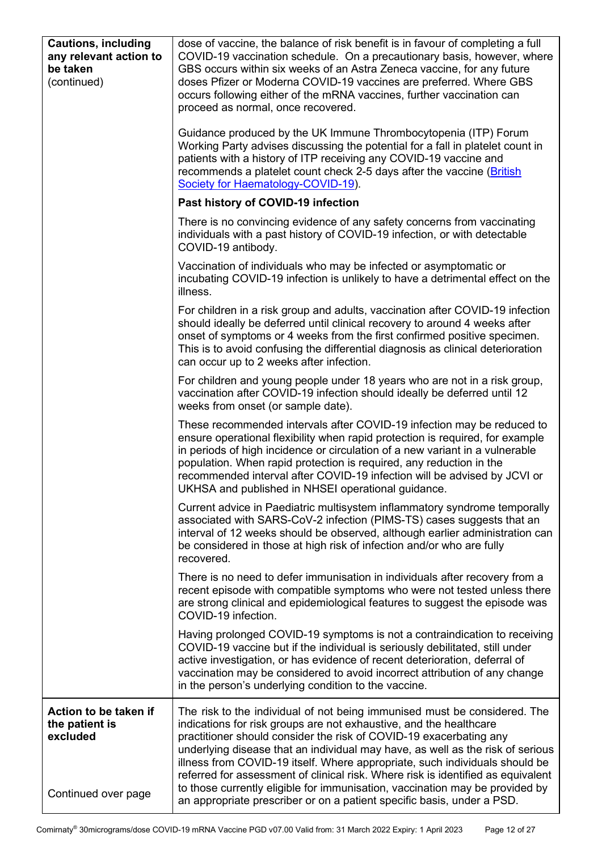| <b>Cautions, including</b><br>any relevant action to<br>be taken<br>(continued) | dose of vaccine, the balance of risk benefit is in favour of completing a full<br>COVID-19 vaccination schedule. On a precautionary basis, however, where<br>GBS occurs within six weeks of an Astra Zeneca vaccine, for any future<br>doses Pfizer or Moderna COVID-19 vaccines are preferred. Where GBS<br>occurs following either of the mRNA vaccines, further vaccination can<br>proceed as normal, once recovered.                                                                                                                                                                                                             |
|---------------------------------------------------------------------------------|--------------------------------------------------------------------------------------------------------------------------------------------------------------------------------------------------------------------------------------------------------------------------------------------------------------------------------------------------------------------------------------------------------------------------------------------------------------------------------------------------------------------------------------------------------------------------------------------------------------------------------------|
|                                                                                 | Guidance produced by the UK Immune Thrombocytopenia (ITP) Forum<br>Working Party advises discussing the potential for a fall in platelet count in<br>patients with a history of ITP receiving any COVID-19 vaccine and<br>recommends a platelet count check 2-5 days after the vaccine (British<br>Society for Haematology-COVID-19).                                                                                                                                                                                                                                                                                                |
|                                                                                 | Past history of COVID-19 infection                                                                                                                                                                                                                                                                                                                                                                                                                                                                                                                                                                                                   |
|                                                                                 | There is no convincing evidence of any safety concerns from vaccinating<br>individuals with a past history of COVID-19 infection, or with detectable<br>COVID-19 antibody.                                                                                                                                                                                                                                                                                                                                                                                                                                                           |
|                                                                                 | Vaccination of individuals who may be infected or asymptomatic or<br>incubating COVID-19 infection is unlikely to have a detrimental effect on the<br>illness.                                                                                                                                                                                                                                                                                                                                                                                                                                                                       |
|                                                                                 | For children in a risk group and adults, vaccination after COVID-19 infection<br>should ideally be deferred until clinical recovery to around 4 weeks after<br>onset of symptoms or 4 weeks from the first confirmed positive specimen.<br>This is to avoid confusing the differential diagnosis as clinical deterioration<br>can occur up to 2 weeks after infection.                                                                                                                                                                                                                                                               |
|                                                                                 | For children and young people under 18 years who are not in a risk group,<br>vaccination after COVID-19 infection should ideally be deferred until 12<br>weeks from onset (or sample date).                                                                                                                                                                                                                                                                                                                                                                                                                                          |
|                                                                                 | These recommended intervals after COVID-19 infection may be reduced to<br>ensure operational flexibility when rapid protection is required, for example<br>in periods of high incidence or circulation of a new variant in a vulnerable<br>population. When rapid protection is required, any reduction in the<br>recommended interval after COVID-19 infection will be advised by JCVI or<br>UKHSA and published in NHSEI operational guidance                                                                                                                                                                                      |
|                                                                                 | Current advice in Paediatric multisystem inflammatory syndrome temporally<br>associated with SARS-CoV-2 infection (PIMS-TS) cases suggests that an<br>interval of 12 weeks should be observed, although earlier administration can<br>be considered in those at high risk of infection and/or who are fully<br>recovered.                                                                                                                                                                                                                                                                                                            |
|                                                                                 | There is no need to defer immunisation in individuals after recovery from a<br>recent episode with compatible symptoms who were not tested unless there<br>are strong clinical and epidemiological features to suggest the episode was<br>COVID-19 infection.                                                                                                                                                                                                                                                                                                                                                                        |
|                                                                                 | Having prolonged COVID-19 symptoms is not a contraindication to receiving<br>COVID-19 vaccine but if the individual is seriously debilitated, still under<br>active investigation, or has evidence of recent deterioration, deferral of<br>vaccination may be considered to avoid incorrect attribution of any change<br>in the person's underlying condition to the vaccine.                                                                                                                                                                                                                                                        |
| Action to be taken if<br>the patient is<br>excluded<br>Continued over page      | The risk to the individual of not being immunised must be considered. The<br>indications for risk groups are not exhaustive, and the healthcare<br>practitioner should consider the risk of COVID-19 exacerbating any<br>underlying disease that an individual may have, as well as the risk of serious<br>illness from COVID-19 itself. Where appropriate, such individuals should be<br>referred for assessment of clinical risk. Where risk is identified as equivalent<br>to those currently eligible for immunisation, vaccination may be provided by<br>an appropriate prescriber or on a patient specific basis, under a PSD. |
|                                                                                 |                                                                                                                                                                                                                                                                                                                                                                                                                                                                                                                                                                                                                                      |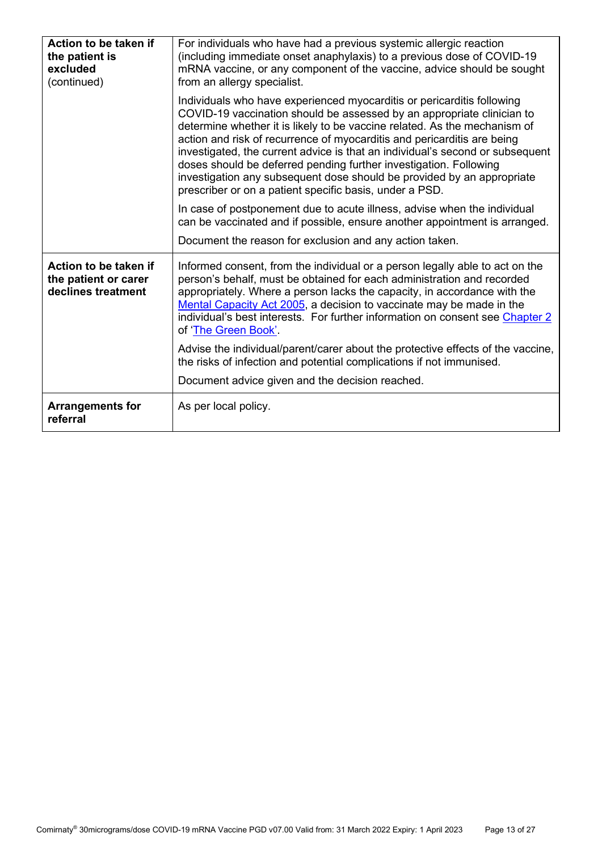| Action to be taken if<br>the patient is<br>excluded<br>(continued)  | For individuals who have had a previous systemic allergic reaction<br>(including immediate onset anaphylaxis) to a previous dose of COVID-19<br>mRNA vaccine, or any component of the vaccine, advice should be sought<br>from an allergy specialist.                                                                                                                                                                                                                                                                                                                                               |
|---------------------------------------------------------------------|-----------------------------------------------------------------------------------------------------------------------------------------------------------------------------------------------------------------------------------------------------------------------------------------------------------------------------------------------------------------------------------------------------------------------------------------------------------------------------------------------------------------------------------------------------------------------------------------------------|
|                                                                     | Individuals who have experienced myocarditis or pericarditis following<br>COVID-19 vaccination should be assessed by an appropriate clinician to<br>determine whether it is likely to be vaccine related. As the mechanism of<br>action and risk of recurrence of myocarditis and pericarditis are being<br>investigated, the current advice is that an individual's second or subsequent<br>doses should be deferred pending further investigation. Following<br>investigation any subsequent dose should be provided by an appropriate<br>prescriber or on a patient specific basis, under a PSD. |
|                                                                     | In case of postponement due to acute illness, advise when the individual<br>can be vaccinated and if possible, ensure another appointment is arranged.                                                                                                                                                                                                                                                                                                                                                                                                                                              |
|                                                                     | Document the reason for exclusion and any action taken.                                                                                                                                                                                                                                                                                                                                                                                                                                                                                                                                             |
| Action to be taken if<br>the patient or carer<br>declines treatment | Informed consent, from the individual or a person legally able to act on the<br>person's behalf, must be obtained for each administration and recorded<br>appropriately. Where a person lacks the capacity, in accordance with the<br>Mental Capacity Act 2005, a decision to vaccinate may be made in the<br>individual's best interests. For further information on consent see Chapter 2<br>of 'The Green Book'.                                                                                                                                                                                 |
|                                                                     | Advise the individual/parent/carer about the protective effects of the vaccine,<br>the risks of infection and potential complications if not immunised.                                                                                                                                                                                                                                                                                                                                                                                                                                             |
|                                                                     | Document advice given and the decision reached.                                                                                                                                                                                                                                                                                                                                                                                                                                                                                                                                                     |
| <b>Arrangements for</b><br>referral                                 | As per local policy.                                                                                                                                                                                                                                                                                                                                                                                                                                                                                                                                                                                |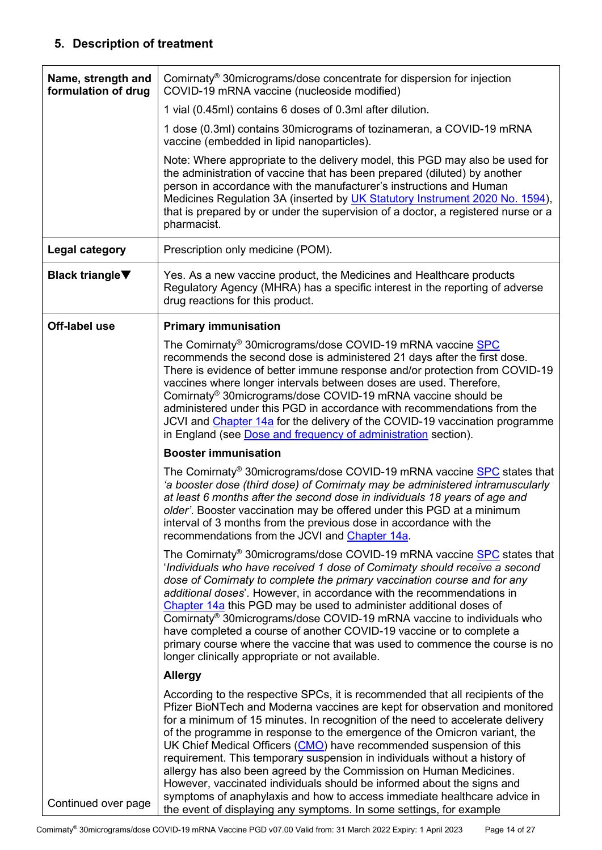# **5. Description of treatment**

<span id="page-13-1"></span><span id="page-13-0"></span>

| Name, strength and<br>formulation of drug | Comirnaty <sup>®</sup> 30micrograms/dose concentrate for dispersion for injection<br>COVID-19 mRNA vaccine (nucleoside modified)                                                                                                                                                                                                                                                                                                                                                                                                                                                                                                                                                                                                                                                     |
|-------------------------------------------|--------------------------------------------------------------------------------------------------------------------------------------------------------------------------------------------------------------------------------------------------------------------------------------------------------------------------------------------------------------------------------------------------------------------------------------------------------------------------------------------------------------------------------------------------------------------------------------------------------------------------------------------------------------------------------------------------------------------------------------------------------------------------------------|
|                                           | 1 vial (0.45ml) contains 6 doses of 0.3ml after dilution.                                                                                                                                                                                                                                                                                                                                                                                                                                                                                                                                                                                                                                                                                                                            |
|                                           | 1 dose (0.3ml) contains 30 micrograms of tozinameran, a COVID-19 mRNA<br>vaccine (embedded in lipid nanoparticles).                                                                                                                                                                                                                                                                                                                                                                                                                                                                                                                                                                                                                                                                  |
|                                           | Note: Where appropriate to the delivery model, this PGD may also be used for<br>the administration of vaccine that has been prepared (diluted) by another<br>person in accordance with the manufacturer's instructions and Human<br>Medicines Regulation 3A (inserted by UK Statutory Instrument 2020 No. 1594),<br>that is prepared by or under the supervision of a doctor, a registered nurse or a<br>pharmacist.                                                                                                                                                                                                                                                                                                                                                                 |
| <b>Legal category</b>                     | Prescription only medicine (POM).                                                                                                                                                                                                                                                                                                                                                                                                                                                                                                                                                                                                                                                                                                                                                    |
| <b>Black triangle</b> ▼                   | Yes. As a new vaccine product, the Medicines and Healthcare products<br>Regulatory Agency (MHRA) has a specific interest in the reporting of adverse<br>drug reactions for this product.                                                                                                                                                                                                                                                                                                                                                                                                                                                                                                                                                                                             |
| Off-label use                             | <b>Primary immunisation</b>                                                                                                                                                                                                                                                                                                                                                                                                                                                                                                                                                                                                                                                                                                                                                          |
|                                           | The Comirnaty® 30micrograms/dose COVID-19 mRNA vaccine SPC<br>recommends the second dose is administered 21 days after the first dose.<br>There is evidence of better immune response and/or protection from COVID-19<br>vaccines where longer intervals between doses are used. Therefore,<br>Comirnaty <sup>®</sup> 30micrograms/dose COVID-19 mRNA vaccine should be<br>administered under this PGD in accordance with recommendations from the<br>JCVI and Chapter 14a for the delivery of the COVID-19 vaccination programme<br>in England (see Dose and frequency of administration section).                                                                                                                                                                                  |
|                                           | <b>Booster immunisation</b>                                                                                                                                                                                                                                                                                                                                                                                                                                                                                                                                                                                                                                                                                                                                                          |
|                                           | The Comirnaty® 30micrograms/dose COVID-19 mRNA vaccine SPC states that<br>'a booster dose (third dose) of Comirnaty may be administered intramuscularly<br>at least 6 months after the second dose in individuals 18 years of age and<br>older'. Booster vaccination may be offered under this PGD at a minimum<br>interval of 3 months from the previous dose in accordance with the<br>recommendations from the JCVI and Chapter 14a.                                                                                                                                                                                                                                                                                                                                              |
|                                           | The Comirnaty <sup>®</sup> 30micrograms/dose COVID-19 mRNA vaccine SPC states that<br>'Individuals who have received 1 dose of Comirnaty should receive a second<br>dose of Comirnaty to complete the primary vaccination course and for any<br>additional doses'. However, in accordance with the recommendations in<br>Chapter 14a this PGD may be used to administer additional doses of<br>Comirnaty <sup>®</sup> 30micrograms/dose COVID-19 mRNA vaccine to individuals who<br>have completed a course of another COVID-19 vaccine or to complete a<br>primary course where the vaccine that was used to commence the course is no<br>longer clinically appropriate or not available.                                                                                           |
|                                           | <b>Allergy</b>                                                                                                                                                                                                                                                                                                                                                                                                                                                                                                                                                                                                                                                                                                                                                                       |
| Continued over page                       | According to the respective SPCs, it is recommended that all recipients of the<br>Pfizer BioNTech and Moderna vaccines are kept for observation and monitored<br>for a minimum of 15 minutes. In recognition of the need to accelerate delivery<br>of the programme in response to the emergence of the Omicron variant, the<br>UK Chief Medical Officers (CMO) have recommended suspension of this<br>requirement. This temporary suspension in individuals without a history of<br>allergy has also been agreed by the Commission on Human Medicines.<br>However, vaccinated individuals should be informed about the signs and<br>symptoms of anaphylaxis and how to access immediate healthcare advice in<br>the event of displaying any symptoms. In some settings, for example |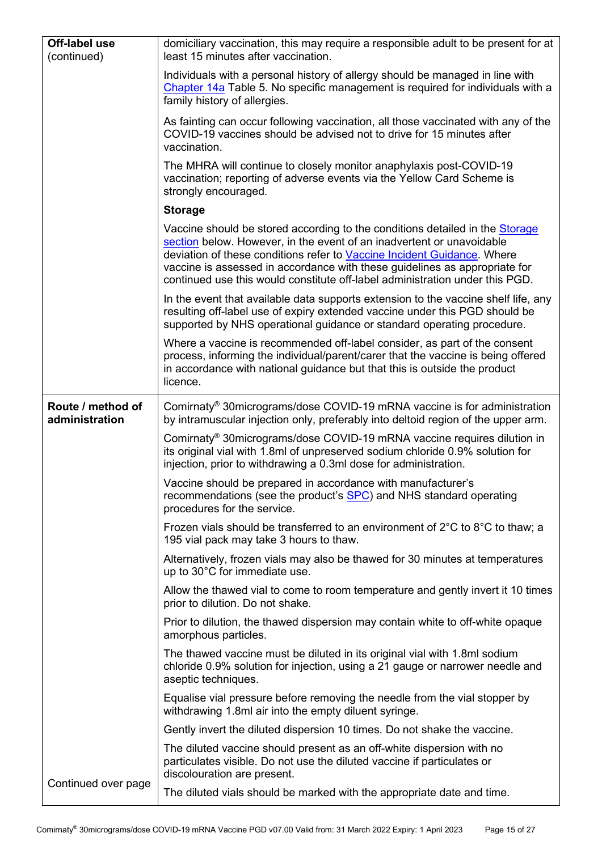| <b>Off-label use</b><br>(continued) | domiciliary vaccination, this may require a responsible adult to be present for at<br>least 15 minutes after vaccination.                                                                                                                                                                                                                                                                      |
|-------------------------------------|------------------------------------------------------------------------------------------------------------------------------------------------------------------------------------------------------------------------------------------------------------------------------------------------------------------------------------------------------------------------------------------------|
|                                     | Individuals with a personal history of allergy should be managed in line with<br>Chapter 14a Table 5. No specific management is required for individuals with a<br>family history of allergies.                                                                                                                                                                                                |
|                                     | As fainting can occur following vaccination, all those vaccinated with any of the<br>COVID-19 vaccines should be advised not to drive for 15 minutes after<br>vaccination.                                                                                                                                                                                                                     |
|                                     | The MHRA will continue to closely monitor anaphylaxis post-COVID-19<br>vaccination; reporting of adverse events via the Yellow Card Scheme is<br>strongly encouraged.                                                                                                                                                                                                                          |
|                                     | <b>Storage</b>                                                                                                                                                                                                                                                                                                                                                                                 |
|                                     | Vaccine should be stored according to the conditions detailed in the Storage<br>section below. However, in the event of an inadvertent or unavoidable<br>deviation of these conditions refer to Vaccine Incident Guidance. Where<br>vaccine is assessed in accordance with these guidelines as appropriate for<br>continued use this would constitute off-label administration under this PGD. |
|                                     | In the event that available data supports extension to the vaccine shelf life, any<br>resulting off-label use of expiry extended vaccine under this PGD should be<br>supported by NHS operational guidance or standard operating procedure.                                                                                                                                                    |
|                                     | Where a vaccine is recommended off-label consider, as part of the consent<br>process, informing the individual/parent/carer that the vaccine is being offered<br>in accordance with national guidance but that this is outside the product<br>licence.                                                                                                                                         |
| Route / method of<br>administration | Comirnaty <sup>®</sup> 30micrograms/dose COVID-19 mRNA vaccine is for administration<br>by intramuscular injection only, preferably into deltoid region of the upper arm.                                                                                                                                                                                                                      |
|                                     | Comirnaty <sup>®</sup> 30micrograms/dose COVID-19 mRNA vaccine requires dilution in<br>its original vial with 1.8ml of unpreserved sodium chloride 0.9% solution for<br>injection, prior to withdrawing a 0.3ml dose for administration.                                                                                                                                                       |
|                                     | Vaccine should be prepared in accordance with manufacturer's<br>recommendations (see the product's SPC) and NHS standard operating<br>procedures for the service.                                                                                                                                                                                                                              |
|                                     | Frozen vials should be transferred to an environment of $2^{\circ}$ C to $8^{\circ}$ C to thaw; a<br>195 vial pack may take 3 hours to thaw.                                                                                                                                                                                                                                                   |
|                                     | Alternatively, frozen vials may also be thawed for 30 minutes at temperatures<br>up to 30°C for immediate use.                                                                                                                                                                                                                                                                                 |
|                                     | Allow the thawed vial to come to room temperature and gently invert it 10 times<br>prior to dilution. Do not shake.                                                                                                                                                                                                                                                                            |
|                                     | Prior to dilution, the thawed dispersion may contain white to off-white opaque<br>amorphous particles.                                                                                                                                                                                                                                                                                         |
|                                     | The thawed vaccine must be diluted in its original vial with 1.8ml sodium<br>chloride 0.9% solution for injection, using a 21 gauge or narrower needle and<br>aseptic techniques.                                                                                                                                                                                                              |
|                                     | Equalise vial pressure before removing the needle from the vial stopper by<br>withdrawing 1.8ml air into the empty diluent syringe.                                                                                                                                                                                                                                                            |
|                                     | Gently invert the diluted dispersion 10 times. Do not shake the vaccine.                                                                                                                                                                                                                                                                                                                       |
|                                     | The diluted vaccine should present as an off-white dispersion with no<br>particulates visible. Do not use the diluted vaccine if particulates or<br>discolouration are present.                                                                                                                                                                                                                |
| Continued over page                 | The diluted vials should be marked with the appropriate date and time.                                                                                                                                                                                                                                                                                                                         |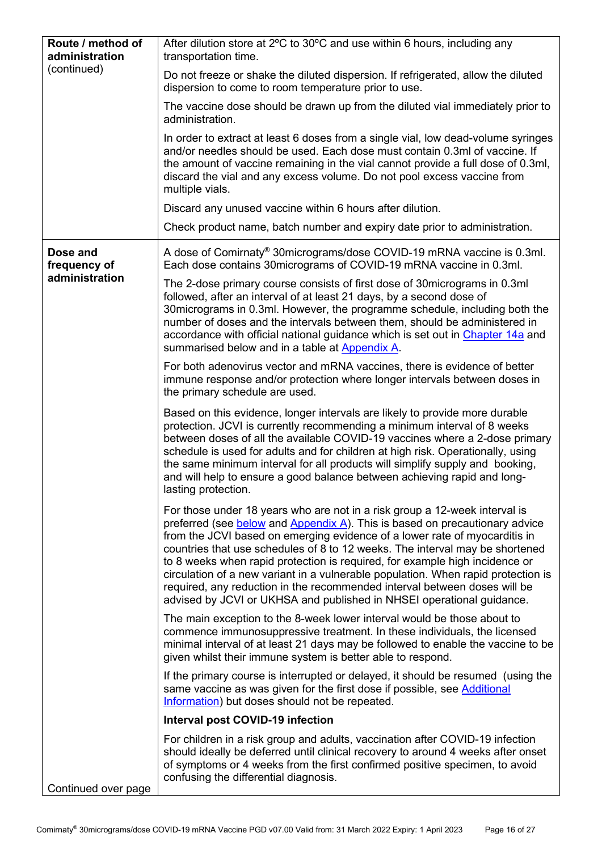<span id="page-15-0"></span>

| Route / method of<br>administration | After dilution store at 2°C to 30°C and use within 6 hours, including any<br>transportation time.                                                                                                                                                                                                                                                                                                                                                                                                                                                                                                                                                 |
|-------------------------------------|---------------------------------------------------------------------------------------------------------------------------------------------------------------------------------------------------------------------------------------------------------------------------------------------------------------------------------------------------------------------------------------------------------------------------------------------------------------------------------------------------------------------------------------------------------------------------------------------------------------------------------------------------|
| (continued)                         | Do not freeze or shake the diluted dispersion. If refrigerated, allow the diluted<br>dispersion to come to room temperature prior to use.                                                                                                                                                                                                                                                                                                                                                                                                                                                                                                         |
|                                     | The vaccine dose should be drawn up from the diluted vial immediately prior to<br>administration.                                                                                                                                                                                                                                                                                                                                                                                                                                                                                                                                                 |
|                                     | In order to extract at least 6 doses from a single vial, low dead-volume syringes<br>and/or needles should be used. Each dose must contain 0.3ml of vaccine. If<br>the amount of vaccine remaining in the vial cannot provide a full dose of 0.3ml,<br>discard the vial and any excess volume. Do not pool excess vaccine from<br>multiple vials.                                                                                                                                                                                                                                                                                                 |
|                                     | Discard any unused vaccine within 6 hours after dilution.                                                                                                                                                                                                                                                                                                                                                                                                                                                                                                                                                                                         |
|                                     | Check product name, batch number and expiry date prior to administration.                                                                                                                                                                                                                                                                                                                                                                                                                                                                                                                                                                         |
| Dose and<br>frequency of            | A dose of Comirnaty® 30micrograms/dose COVID-19 mRNA vaccine is 0.3ml.<br>Each dose contains 30micrograms of COVID-19 mRNA vaccine in 0.3ml.                                                                                                                                                                                                                                                                                                                                                                                                                                                                                                      |
| administration                      | The 2-dose primary course consists of first dose of 30 micrograms in 0.3 ml<br>followed, after an interval of at least 21 days, by a second dose of<br>30 micrograms in 0.3ml. However, the programme schedule, including both the<br>number of doses and the intervals between them, should be administered in<br>accordance with official national guidance which is set out in Chapter 14a and<br>summarised below and in a table at Appendix A.                                                                                                                                                                                               |
|                                     | For both adenovirus vector and mRNA vaccines, there is evidence of better<br>immune response and/or protection where longer intervals between doses in<br>the primary schedule are used.                                                                                                                                                                                                                                                                                                                                                                                                                                                          |
|                                     | Based on this evidence, longer intervals are likely to provide more durable<br>protection. JCVI is currently recommending a minimum interval of 8 weeks<br>between doses of all the available COVID-19 vaccines where a 2-dose primary<br>schedule is used for adults and for children at high risk. Operationally, using<br>the same minimum interval for all products will simplify supply and booking,<br>and will help to ensure a good balance between achieving rapid and long-<br>lasting protection.                                                                                                                                      |
|                                     | For those under 18 years who are not in a risk group a 12-week interval is<br>preferred (see below and Appendix A). This is based on precautionary advice<br>from the JCVI based on emerging evidence of a lower rate of myocarditis in<br>countries that use schedules of 8 to 12 weeks. The interval may be shortened<br>to 8 weeks when rapid protection is required, for example high incidence or<br>circulation of a new variant in a vulnerable population. When rapid protection is<br>required, any reduction in the recommended interval between doses will be<br>advised by JCVI or UKHSA and published in NHSEI operational guidance. |
|                                     | The main exception to the 8-week lower interval would be those about to<br>commence immunosuppressive treatment. In these individuals, the licensed<br>minimal interval of at least 21 days may be followed to enable the vaccine to be<br>given whilst their immune system is better able to respond.                                                                                                                                                                                                                                                                                                                                            |
|                                     | If the primary course is interrupted or delayed, it should be resumed (using the<br>same vaccine as was given for the first dose if possible, see Additional<br>Information) but doses should not be repeated.                                                                                                                                                                                                                                                                                                                                                                                                                                    |
|                                     | Interval post COVID-19 infection                                                                                                                                                                                                                                                                                                                                                                                                                                                                                                                                                                                                                  |
|                                     | For children in a risk group and adults, vaccination after COVID-19 infection<br>should ideally be deferred until clinical recovery to around 4 weeks after onset<br>of symptoms or 4 weeks from the first confirmed positive specimen, to avoid<br>confusing the differential diagnosis.                                                                                                                                                                                                                                                                                                                                                         |
| Continued over page                 |                                                                                                                                                                                                                                                                                                                                                                                                                                                                                                                                                                                                                                                   |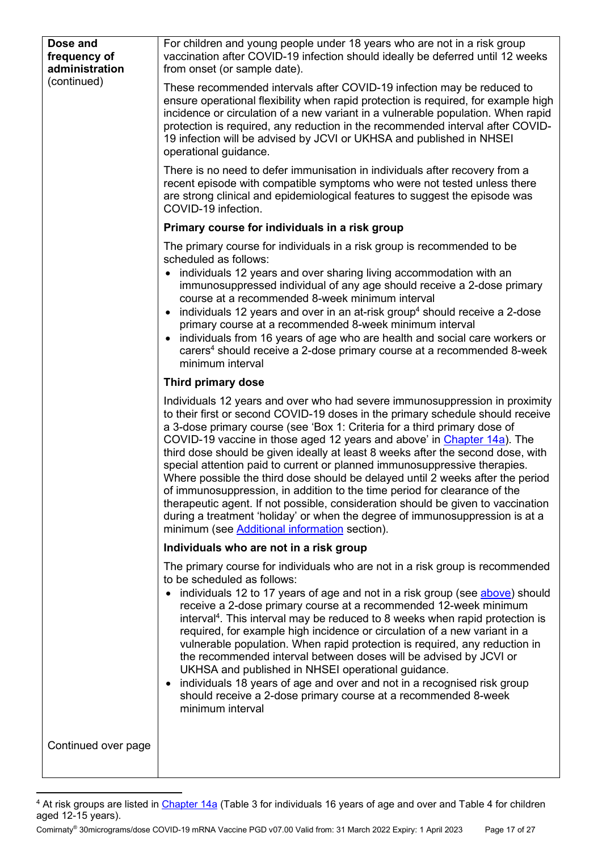<span id="page-16-2"></span><span id="page-16-1"></span>

| Dose and<br>frequency of<br>administration<br>(continued) | For children and young people under 18 years who are not in a risk group<br>vaccination after COVID-19 infection should ideally be deferred until 12 weeks<br>from onset (or sample date).                                                                                                                                                                                                                                                                                                                                                                                                                                                                                                                                                                                                                                                                                |
|-----------------------------------------------------------|---------------------------------------------------------------------------------------------------------------------------------------------------------------------------------------------------------------------------------------------------------------------------------------------------------------------------------------------------------------------------------------------------------------------------------------------------------------------------------------------------------------------------------------------------------------------------------------------------------------------------------------------------------------------------------------------------------------------------------------------------------------------------------------------------------------------------------------------------------------------------|
|                                                           | These recommended intervals after COVID-19 infection may be reduced to<br>ensure operational flexibility when rapid protection is required, for example high<br>incidence or circulation of a new variant in a vulnerable population. When rapid<br>protection is required, any reduction in the recommended interval after COVID-<br>19 infection will be advised by JCVI or UKHSA and published in NHSEI<br>operational guidance.                                                                                                                                                                                                                                                                                                                                                                                                                                       |
|                                                           | There is no need to defer immunisation in individuals after recovery from a<br>recent episode with compatible symptoms who were not tested unless there<br>are strong clinical and epidemiological features to suggest the episode was<br>COVID-19 infection.                                                                                                                                                                                                                                                                                                                                                                                                                                                                                                                                                                                                             |
|                                                           | Primary course for individuals in a risk group                                                                                                                                                                                                                                                                                                                                                                                                                                                                                                                                                                                                                                                                                                                                                                                                                            |
|                                                           | The primary course for individuals in a risk group is recommended to be<br>scheduled as follows:                                                                                                                                                                                                                                                                                                                                                                                                                                                                                                                                                                                                                                                                                                                                                                          |
|                                                           | individuals 12 years and over sharing living accommodation with an<br>$\bullet$<br>immunosuppressed individual of any age should receive a 2-dose primary<br>course at a recommended 8-week minimum interval<br>individuals 12 years and over in an at-risk group <sup>4</sup> should receive a 2-dose<br>$\bullet$<br>primary course at a recommended 8-week minimum interval<br>individuals from 16 years of age who are health and social care workers or<br>carers <sup>4</sup> should receive a 2-dose primary course at a recommended 8-week<br>minimum interval                                                                                                                                                                                                                                                                                                    |
|                                                           | Third primary dose                                                                                                                                                                                                                                                                                                                                                                                                                                                                                                                                                                                                                                                                                                                                                                                                                                                        |
|                                                           | Individuals 12 years and over who had severe immunosuppression in proximity<br>to their first or second COVID-19 doses in the primary schedule should receive<br>a 3-dose primary course (see 'Box 1: Criteria for a third primary dose of<br>COVID-19 vaccine in those aged 12 years and above' in Chapter 14a). The<br>third dose should be given ideally at least 8 weeks after the second dose, with<br>special attention paid to current or planned immunosuppressive therapies.<br>Where possible the third dose should be delayed until 2 weeks after the period<br>of immunosuppression, in addition to the time period for clearance of the<br>therapeutic agent. If not possible, consideration should be given to vaccination<br>during a treatment 'holiday' or when the degree of immunosuppression is at a<br>minimum (see Additional information section). |
|                                                           | Individuals who are not in a risk group                                                                                                                                                                                                                                                                                                                                                                                                                                                                                                                                                                                                                                                                                                                                                                                                                                   |
|                                                           | The primary course for individuals who are not in a risk group is recommended<br>to be scheduled as follows:<br>individuals 12 to 17 years of age and not in a risk group (see above) should<br>receive a 2-dose primary course at a recommended 12-week minimum<br>interval <sup>4</sup> . This interval may be reduced to 8 weeks when rapid protection is<br>required, for example high incidence or circulation of a new variant in a<br>vulnerable population. When rapid protection is required, any reduction in<br>the recommended interval between doses will be advised by JCVI or<br>UKHSA and published in NHSEI operational guidance.<br>individuals 18 years of age and over and not in a recognised risk group<br>$\bullet$<br>should receive a 2-dose primary course at a recommended 8-week<br>minimum interval                                          |
| Continued over page                                       |                                                                                                                                                                                                                                                                                                                                                                                                                                                                                                                                                                                                                                                                                                                                                                                                                                                                           |

<span id="page-16-0"></span><sup>&</sup>lt;sup>4</sup> At risk groups are listed in <u>Chapter 14a</u> (Table 3 for individuals 16 years of age and over and Table 4 for children aged 12-15 years).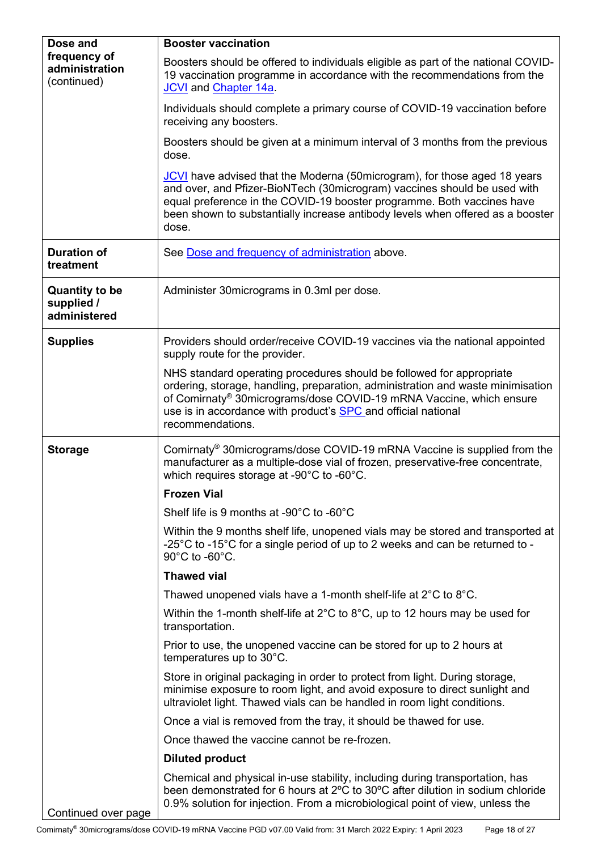<span id="page-17-0"></span>

| Dose and                                            | <b>Booster vaccination</b>                                                                                                                                                                                                                                                                                                  |
|-----------------------------------------------------|-----------------------------------------------------------------------------------------------------------------------------------------------------------------------------------------------------------------------------------------------------------------------------------------------------------------------------|
| frequency of<br>administration<br>(continued)       | Boosters should be offered to individuals eligible as part of the national COVID-<br>19 vaccination programme in accordance with the recommendations from the<br>JCVI and Chapter 14a.                                                                                                                                      |
|                                                     | Individuals should complete a primary course of COVID-19 vaccination before<br>receiving any boosters.                                                                                                                                                                                                                      |
|                                                     | Boosters should be given at a minimum interval of 3 months from the previous<br>dose.                                                                                                                                                                                                                                       |
|                                                     | JCVI have advised that the Moderna (50 microgram), for those aged 18 years<br>and over, and Pfizer-BioNTech (30microgram) vaccines should be used with<br>equal preference in the COVID-19 booster programme. Both vaccines have<br>been shown to substantially increase antibody levels when offered as a booster<br>dose. |
| <b>Duration of</b><br>treatment                     | See Dose and frequency of administration above.                                                                                                                                                                                                                                                                             |
| <b>Quantity to be</b><br>supplied /<br>administered | Administer 30micrograms in 0.3ml per dose.                                                                                                                                                                                                                                                                                  |
| <b>Supplies</b>                                     | Providers should order/receive COVID-19 vaccines via the national appointed<br>supply route for the provider.                                                                                                                                                                                                               |
|                                                     | NHS standard operating procedures should be followed for appropriate<br>ordering, storage, handling, preparation, administration and waste minimisation<br>of Comirnaty® 30micrograms/dose COVID-19 mRNA Vaccine, which ensure<br>use is in accordance with product's <b>SPC</b> and official national<br>recommendations.  |
| <b>Storage</b>                                      | Comirnaty <sup>®</sup> 30micrograms/dose COVID-19 mRNA Vaccine is supplied from the<br>manufacturer as a multiple-dose vial of frozen, preservative-free concentrate,<br>which requires storage at -90°C to -60°C.                                                                                                          |
|                                                     | <b>Frozen Vial</b>                                                                                                                                                                                                                                                                                                          |
|                                                     | Shelf life is 9 months at -90°C to -60°C                                                                                                                                                                                                                                                                                    |
|                                                     | Within the 9 months shelf life, unopened vials may be stored and transported at<br>-25 $\degree$ C to -15 $\degree$ C for a single period of up to 2 weeks and can be returned to -<br>90°C to -60°C.                                                                                                                       |
|                                                     | <b>Thawed vial</b>                                                                                                                                                                                                                                                                                                          |
|                                                     | Thawed unopened vials have a 1-month shelf-life at $2^{\circ}$ C to $8^{\circ}$ C.                                                                                                                                                                                                                                          |
|                                                     | Within the 1-month shelf-life at $2^{\circ}$ C to $8^{\circ}$ C, up to 12 hours may be used for<br>transportation.                                                                                                                                                                                                          |
|                                                     | Prior to use, the unopened vaccine can be stored for up to 2 hours at<br>temperatures up to 30°C.                                                                                                                                                                                                                           |
|                                                     | Store in original packaging in order to protect from light. During storage,<br>minimise exposure to room light, and avoid exposure to direct sunlight and<br>ultraviolet light. Thawed vials can be handled in room light conditions.                                                                                       |
|                                                     | Once a vial is removed from the tray, it should be thawed for use.                                                                                                                                                                                                                                                          |
|                                                     | Once thawed the vaccine cannot be re-frozen.                                                                                                                                                                                                                                                                                |
|                                                     | <b>Diluted product</b>                                                                                                                                                                                                                                                                                                      |
| Continued over page                                 | Chemical and physical in-use stability, including during transportation, has<br>been demonstrated for 6 hours at 2°C to 30°C after dilution in sodium chloride<br>0.9% solution for injection. From a microbiological point of view, unless the                                                                             |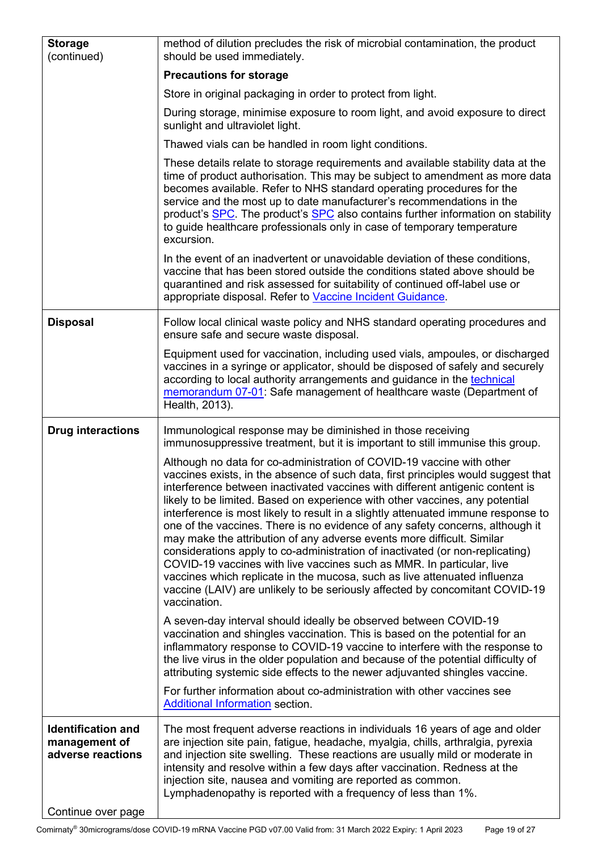| <b>Storage</b><br>(continued)                                   | method of dilution precludes the risk of microbial contamination, the product<br>should be used immediately.                                                                                                                                                                                                                                                                                                                                                                                                                                                                                                                                                                                                                                                                                                                                                                                                       |
|-----------------------------------------------------------------|--------------------------------------------------------------------------------------------------------------------------------------------------------------------------------------------------------------------------------------------------------------------------------------------------------------------------------------------------------------------------------------------------------------------------------------------------------------------------------------------------------------------------------------------------------------------------------------------------------------------------------------------------------------------------------------------------------------------------------------------------------------------------------------------------------------------------------------------------------------------------------------------------------------------|
|                                                                 | <b>Precautions for storage</b>                                                                                                                                                                                                                                                                                                                                                                                                                                                                                                                                                                                                                                                                                                                                                                                                                                                                                     |
|                                                                 | Store in original packaging in order to protect from light.                                                                                                                                                                                                                                                                                                                                                                                                                                                                                                                                                                                                                                                                                                                                                                                                                                                        |
|                                                                 | During storage, minimise exposure to room light, and avoid exposure to direct<br>sunlight and ultraviolet light.                                                                                                                                                                                                                                                                                                                                                                                                                                                                                                                                                                                                                                                                                                                                                                                                   |
|                                                                 | Thawed vials can be handled in room light conditions.                                                                                                                                                                                                                                                                                                                                                                                                                                                                                                                                                                                                                                                                                                                                                                                                                                                              |
|                                                                 | These details relate to storage requirements and available stability data at the<br>time of product authorisation. This may be subject to amendment as more data<br>becomes available. Refer to NHS standard operating procedures for the<br>service and the most up to date manufacturer's recommendations in the<br>product's SPC. The product's SPC also contains further information on stability<br>to guide healthcare professionals only in case of temporary temperature<br>excursion.                                                                                                                                                                                                                                                                                                                                                                                                                     |
|                                                                 | In the event of an inadvertent or unavoidable deviation of these conditions,<br>vaccine that has been stored outside the conditions stated above should be<br>quarantined and risk assessed for suitability of continued off-label use or<br>appropriate disposal. Refer to Vaccine Incident Guidance.                                                                                                                                                                                                                                                                                                                                                                                                                                                                                                                                                                                                             |
| <b>Disposal</b>                                                 | Follow local clinical waste policy and NHS standard operating procedures and<br>ensure safe and secure waste disposal.                                                                                                                                                                                                                                                                                                                                                                                                                                                                                                                                                                                                                                                                                                                                                                                             |
|                                                                 | Equipment used for vaccination, including used vials, ampoules, or discharged<br>vaccines in a syringe or applicator, should be disposed of safely and securely<br>according to local authority arrangements and guidance in the technical<br>memorandum 07-01: Safe management of healthcare waste (Department of<br>Health, 2013).                                                                                                                                                                                                                                                                                                                                                                                                                                                                                                                                                                               |
| <b>Drug interactions</b>                                        | Immunological response may be diminished in those receiving<br>immunosuppressive treatment, but it is important to still immunise this group.                                                                                                                                                                                                                                                                                                                                                                                                                                                                                                                                                                                                                                                                                                                                                                      |
|                                                                 | Although no data for co-administration of COVID-19 vaccine with other<br>vaccines exists, in the absence of such data, first principles would suggest that<br>interference between inactivated vaccines with different antigenic content is<br>likely to be limited. Based on experience with other vaccines, any potential<br>interference is most likely to result in a slightly attenuated immune response to<br>one of the vaccines. There is no evidence of any safety concerns, although it<br>may make the attribution of any adverse events more difficult. Similar<br>considerations apply to co-administration of inactivated (or non-replicating)<br>COVID-19 vaccines with live vaccines such as MMR. In particular, live<br>vaccines which replicate in the mucosa, such as live attenuated influenza<br>vaccine (LAIV) are unlikely to be seriously affected by concomitant COVID-19<br>vaccination. |
|                                                                 | A seven-day interval should ideally be observed between COVID-19<br>vaccination and shingles vaccination. This is based on the potential for an<br>inflammatory response to COVID-19 vaccine to interfere with the response to<br>the live virus in the older population and because of the potential difficulty of<br>attributing systemic side effects to the newer adjuvanted shingles vaccine.                                                                                                                                                                                                                                                                                                                                                                                                                                                                                                                 |
|                                                                 | For further information about co-administration with other vaccines see<br>Additional Information section.                                                                                                                                                                                                                                                                                                                                                                                                                                                                                                                                                                                                                                                                                                                                                                                                         |
| <b>Identification and</b><br>management of<br>adverse reactions | The most frequent adverse reactions in individuals 16 years of age and older<br>are injection site pain, fatigue, headache, myalgia, chills, arthralgia, pyrexia<br>and injection site swelling. These reactions are usually mild or moderate in<br>intensity and resolve within a few days after vaccination. Redness at the<br>injection site, nausea and vomiting are reported as common.<br>Lymphadenopathy is reported with a frequency of less than 1%.                                                                                                                                                                                                                                                                                                                                                                                                                                                      |
| Continue over page                                              |                                                                                                                                                                                                                                                                                                                                                                                                                                                                                                                                                                                                                                                                                                                                                                                                                                                                                                                    |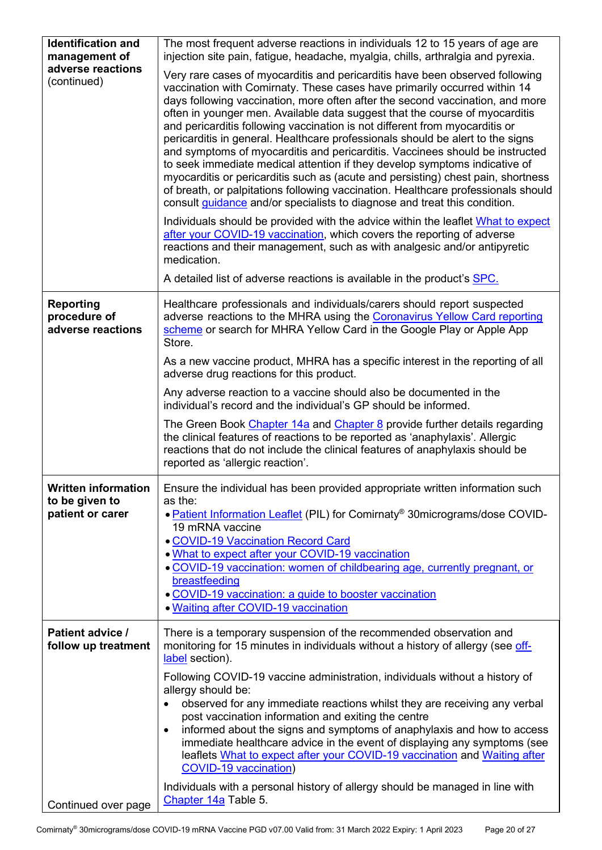| <b>Identification and</b><br>management of            | The most frequent adverse reactions in individuals 12 to 15 years of age are<br>injection site pain, fatigue, headache, myalgia, chills, arthralgia and pyrexia.                                                                                                                                                                                                                                                                                                                                                                                                                                                                                                                                                                                                                                                                                                                                                                                                                                                                                                                                                                                          |
|-------------------------------------------------------|-----------------------------------------------------------------------------------------------------------------------------------------------------------------------------------------------------------------------------------------------------------------------------------------------------------------------------------------------------------------------------------------------------------------------------------------------------------------------------------------------------------------------------------------------------------------------------------------------------------------------------------------------------------------------------------------------------------------------------------------------------------------------------------------------------------------------------------------------------------------------------------------------------------------------------------------------------------------------------------------------------------------------------------------------------------------------------------------------------------------------------------------------------------|
| adverse reactions<br>(continued)                      | Very rare cases of myocarditis and pericarditis have been observed following<br>vaccination with Comirnaty. These cases have primarily occurred within 14<br>days following vaccination, more often after the second vaccination, and more<br>often in younger men. Available data suggest that the course of myocarditis<br>and pericarditis following vaccination is not different from myocarditis or<br>pericarditis in general. Healthcare professionals should be alert to the signs<br>and symptoms of myocarditis and pericarditis. Vaccinees should be instructed<br>to seek immediate medical attention if they develop symptoms indicative of<br>myocarditis or pericarditis such as (acute and persisting) chest pain, shortness<br>of breath, or palpitations following vaccination. Healthcare professionals should<br>consult guidance and/or specialists to diagnose and treat this condition.<br>Individuals should be provided with the advice within the leaflet What to expect<br>after your COVID-19 vaccination, which covers the reporting of adverse<br>reactions and their management, such as with analgesic and/or antipyretic |
|                                                       | medication.<br>A detailed list of adverse reactions is available in the product's <b>SPC</b> .                                                                                                                                                                                                                                                                                                                                                                                                                                                                                                                                                                                                                                                                                                                                                                                                                                                                                                                                                                                                                                                            |
|                                                       |                                                                                                                                                                                                                                                                                                                                                                                                                                                                                                                                                                                                                                                                                                                                                                                                                                                                                                                                                                                                                                                                                                                                                           |
| <b>Reporting</b><br>procedure of<br>adverse reactions | Healthcare professionals and individuals/carers should report suspected<br>adverse reactions to the MHRA using the Coronavirus Yellow Card reporting<br>scheme or search for MHRA Yellow Card in the Google Play or Apple App<br>Store.                                                                                                                                                                                                                                                                                                                                                                                                                                                                                                                                                                                                                                                                                                                                                                                                                                                                                                                   |
|                                                       | As a new vaccine product, MHRA has a specific interest in the reporting of all<br>adverse drug reactions for this product.                                                                                                                                                                                                                                                                                                                                                                                                                                                                                                                                                                                                                                                                                                                                                                                                                                                                                                                                                                                                                                |
|                                                       | Any adverse reaction to a vaccine should also be documented in the<br>individual's record and the individual's GP should be informed.                                                                                                                                                                                                                                                                                                                                                                                                                                                                                                                                                                                                                                                                                                                                                                                                                                                                                                                                                                                                                     |
|                                                       | The Green Book Chapter 14a and Chapter 8 provide further details regarding<br>the clinical features of reactions to be reported as 'anaphylaxis'. Allergic<br>reactions that do not include the clinical features of anaphylaxis should be<br>reported as 'allergic reaction'.                                                                                                                                                                                                                                                                                                                                                                                                                                                                                                                                                                                                                                                                                                                                                                                                                                                                            |
| <b>Written information</b>                            | Ensure the individual has been provided appropriate written information such                                                                                                                                                                                                                                                                                                                                                                                                                                                                                                                                                                                                                                                                                                                                                                                                                                                                                                                                                                                                                                                                              |
| to be given to                                        | as the:                                                                                                                                                                                                                                                                                                                                                                                                                                                                                                                                                                                                                                                                                                                                                                                                                                                                                                                                                                                                                                                                                                                                                   |
| patient or carer                                      | . Patient Information Leaflet (PIL) for Comirnaty <sup>®</sup> 30micrograms/dose COVID-                                                                                                                                                                                                                                                                                                                                                                                                                                                                                                                                                                                                                                                                                                                                                                                                                                                                                                                                                                                                                                                                   |
|                                                       | 19 mRNA vaccine                                                                                                                                                                                                                                                                                                                                                                                                                                                                                                                                                                                                                                                                                                                                                                                                                                                                                                                                                                                                                                                                                                                                           |
|                                                       | <b>. COVID-19 Vaccination Record Card</b><br>. What to expect after your COVID-19 vaccination                                                                                                                                                                                                                                                                                                                                                                                                                                                                                                                                                                                                                                                                                                                                                                                                                                                                                                                                                                                                                                                             |
|                                                       | . COVID-19 vaccination: women of childbearing age, currently pregnant, or                                                                                                                                                                                                                                                                                                                                                                                                                                                                                                                                                                                                                                                                                                                                                                                                                                                                                                                                                                                                                                                                                 |
|                                                       | breastfeeding                                                                                                                                                                                                                                                                                                                                                                                                                                                                                                                                                                                                                                                                                                                                                                                                                                                                                                                                                                                                                                                                                                                                             |
|                                                       | • COVID-19 vaccination: a guide to booster vaccination<br>. Waiting after COVID-19 vaccination                                                                                                                                                                                                                                                                                                                                                                                                                                                                                                                                                                                                                                                                                                                                                                                                                                                                                                                                                                                                                                                            |
|                                                       |                                                                                                                                                                                                                                                                                                                                                                                                                                                                                                                                                                                                                                                                                                                                                                                                                                                                                                                                                                                                                                                                                                                                                           |
| Patient advice /<br>follow up treatment               | There is a temporary suspension of the recommended observation and<br>monitoring for 15 minutes in individuals without a history of allergy (see off-<br>label section).                                                                                                                                                                                                                                                                                                                                                                                                                                                                                                                                                                                                                                                                                                                                                                                                                                                                                                                                                                                  |
|                                                       | Following COVID-19 vaccine administration, individuals without a history of<br>allergy should be:<br>observed for any immediate reactions whilst they are receiving any verbal<br>$\bullet$<br>post vaccination information and exiting the centre<br>informed about the signs and symptoms of anaphylaxis and how to access<br>$\bullet$<br>immediate healthcare advice in the event of displaying any symptoms (see<br>leaflets What to expect after your COVID-19 vaccination and Waiting after<br><b>COVID-19 vaccination)</b><br>Individuals with a personal history of allergy should be managed in line with                                                                                                                                                                                                                                                                                                                                                                                                                                                                                                                                       |
| Continued over page                                   | Chapter 14a Table 5.                                                                                                                                                                                                                                                                                                                                                                                                                                                                                                                                                                                                                                                                                                                                                                                                                                                                                                                                                                                                                                                                                                                                      |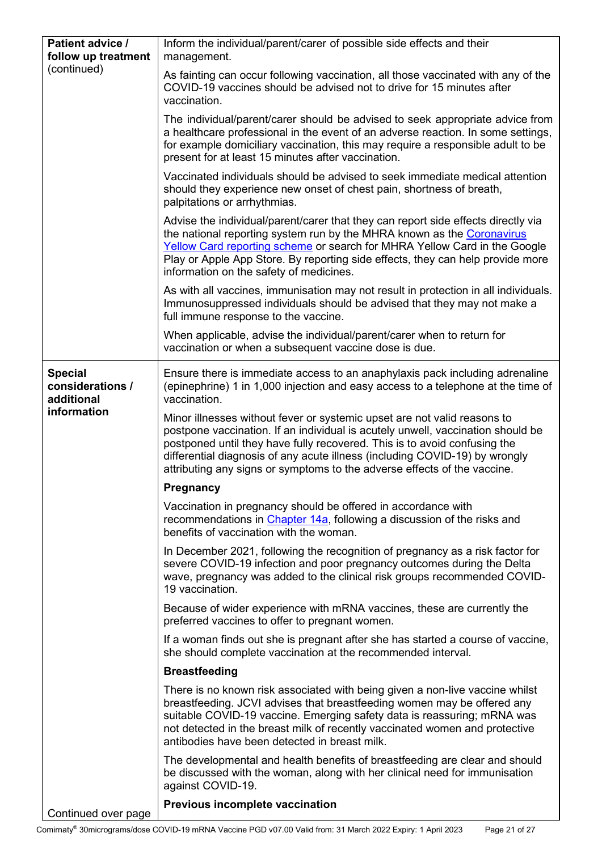<span id="page-20-0"></span>

| Patient advice /<br>follow up treatment          | Inform the individual/parent/carer of possible side effects and their<br>management.                                                                                                                                                                                                                                                                                                                |
|--------------------------------------------------|-----------------------------------------------------------------------------------------------------------------------------------------------------------------------------------------------------------------------------------------------------------------------------------------------------------------------------------------------------------------------------------------------------|
| (continued)                                      | As fainting can occur following vaccination, all those vaccinated with any of the<br>COVID-19 vaccines should be advised not to drive for 15 minutes after<br>vaccination.                                                                                                                                                                                                                          |
|                                                  | The individual/parent/carer should be advised to seek appropriate advice from<br>a healthcare professional in the event of an adverse reaction. In some settings,<br>for example domiciliary vaccination, this may require a responsible adult to be<br>present for at least 15 minutes after vaccination.                                                                                          |
|                                                  | Vaccinated individuals should be advised to seek immediate medical attention<br>should they experience new onset of chest pain, shortness of breath,<br>palpitations or arrhythmias.                                                                                                                                                                                                                |
|                                                  | Advise the individual/parent/carer that they can report side effects directly via<br>the national reporting system run by the MHRA known as the Coronavirus<br>Yellow Card reporting scheme or search for MHRA Yellow Card in the Google<br>Play or Apple App Store. By reporting side effects, they can help provide more<br>information on the safety of medicines.                               |
|                                                  | As with all vaccines, immunisation may not result in protection in all individuals.<br>Immunosuppressed individuals should be advised that they may not make a<br>full immune response to the vaccine.                                                                                                                                                                                              |
|                                                  | When applicable, advise the individual/parent/carer when to return for<br>vaccination or when a subsequent vaccine dose is due.                                                                                                                                                                                                                                                                     |
| <b>Special</b><br>considerations /<br>additional | Ensure there is immediate access to an anaphylaxis pack including adrenaline<br>(epinephrine) 1 in 1,000 injection and easy access to a telephone at the time of<br>vaccination.                                                                                                                                                                                                                    |
| information                                      | Minor illnesses without fever or systemic upset are not valid reasons to<br>postpone vaccination. If an individual is acutely unwell, vaccination should be<br>postponed until they have fully recovered. This is to avoid confusing the<br>differential diagnosis of any acute illness (including COVID-19) by wrongly<br>attributing any signs or symptoms to the adverse effects of the vaccine. |
|                                                  | <b>Pregnancy</b>                                                                                                                                                                                                                                                                                                                                                                                    |
|                                                  | Vaccination in pregnancy should be offered in accordance with<br>recommendations in Chapter 14a, following a discussion of the risks and<br>benefits of vaccination with the woman.                                                                                                                                                                                                                 |
|                                                  | In December 2021, following the recognition of pregnancy as a risk factor for<br>severe COVID-19 infection and poor pregnancy outcomes during the Delta<br>wave, pregnancy was added to the clinical risk groups recommended COVID-<br>19 vaccination.                                                                                                                                              |
|                                                  | Because of wider experience with mRNA vaccines, these are currently the<br>preferred vaccines to offer to pregnant women.                                                                                                                                                                                                                                                                           |
|                                                  | If a woman finds out she is pregnant after she has started a course of vaccine,<br>she should complete vaccination at the recommended interval.                                                                                                                                                                                                                                                     |
|                                                  | <b>Breastfeeding</b>                                                                                                                                                                                                                                                                                                                                                                                |
|                                                  | There is no known risk associated with being given a non-live vaccine whilst<br>breastfeeding. JCVI advises that breastfeeding women may be offered any<br>suitable COVID-19 vaccine. Emerging safety data is reassuring; mRNA was<br>not detected in the breast milk of recently vaccinated women and protective<br>antibodies have been detected in breast milk.                                  |
|                                                  | The developmental and health benefits of breastfeeding are clear and should<br>be discussed with the woman, along with her clinical need for immunisation<br>against COVID-19.                                                                                                                                                                                                                      |
| Continued over page                              | <b>Previous incomplete vaccination</b>                                                                                                                                                                                                                                                                                                                                                              |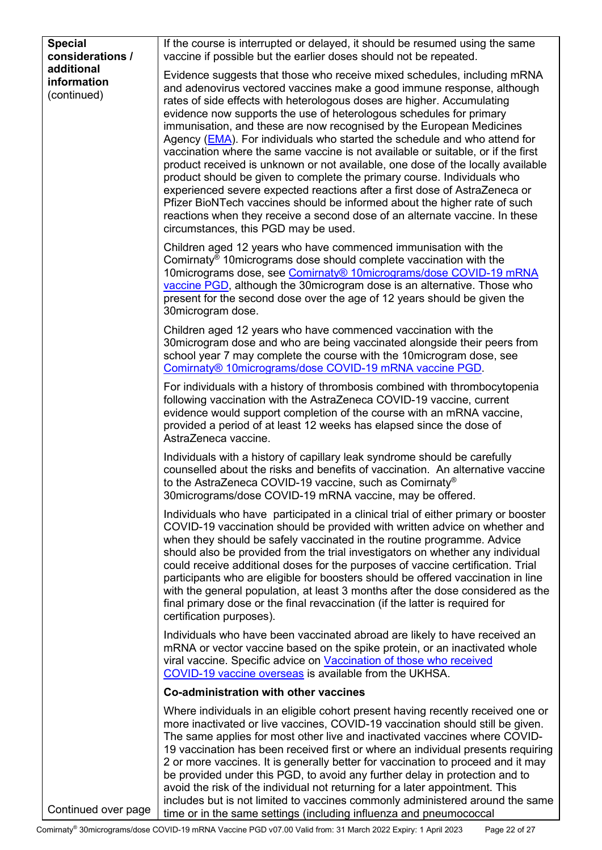<span id="page-21-0"></span>

| <b>Special</b>                           | If the course is interrupted or delayed, it should be resumed using the same                                                                                                                                                                                                                                                                                                                                                                                                                                                                                                                                                                                                                                                                                                                                                                                                                                                                                                                 |
|------------------------------------------|----------------------------------------------------------------------------------------------------------------------------------------------------------------------------------------------------------------------------------------------------------------------------------------------------------------------------------------------------------------------------------------------------------------------------------------------------------------------------------------------------------------------------------------------------------------------------------------------------------------------------------------------------------------------------------------------------------------------------------------------------------------------------------------------------------------------------------------------------------------------------------------------------------------------------------------------------------------------------------------------|
| considerations /                         | vaccine if possible but the earlier doses should not be repeated.                                                                                                                                                                                                                                                                                                                                                                                                                                                                                                                                                                                                                                                                                                                                                                                                                                                                                                                            |
| additional<br>information<br>(continued) | Evidence suggests that those who receive mixed schedules, including mRNA<br>and adenovirus vectored vaccines make a good immune response, although<br>rates of side effects with heterologous doses are higher. Accumulating<br>evidence now supports the use of heterologous schedules for primary<br>immunisation, and these are now recognised by the European Medicines<br>Agency (EMA). For individuals who started the schedule and who attend for<br>vaccination where the same vaccine is not available or suitable, or if the first<br>product received is unknown or not available, one dose of the locally available<br>product should be given to complete the primary course. Individuals who<br>experienced severe expected reactions after a first dose of AstraZeneca or<br>Pfizer BioNTech vaccines should be informed about the higher rate of such<br>reactions when they receive a second dose of an alternate vaccine. In these<br>circumstances, this PGD may be used. |
|                                          | Children aged 12 years who have commenced immunisation with the<br>Comirnaty <sup>®</sup> 10 micrograms dose should complete vaccination with the<br>10micrograms dose, see Comirnaty® 10micrograms/dose COVID-19 mRNA<br>vaccine PGD, although the 30 microgram dose is an alternative. Those who<br>present for the second dose over the age of 12 years should be given the<br>30 microgram dose.                                                                                                                                                                                                                                                                                                                                                                                                                                                                                                                                                                                         |
|                                          | Children aged 12 years who have commenced vaccination with the<br>30 microgram dose and who are being vaccinated alongside their peers from<br>school year 7 may complete the course with the 10 microgram dose, see<br>Comirnaty <sup>®</sup> 10micrograms/dose COVID-19 mRNA vaccine PGD.                                                                                                                                                                                                                                                                                                                                                                                                                                                                                                                                                                                                                                                                                                  |
|                                          | For individuals with a history of thrombosis combined with thrombocytopenia<br>following vaccination with the AstraZeneca COVID-19 vaccine, current<br>evidence would support completion of the course with an mRNA vaccine,<br>provided a period of at least 12 weeks has elapsed since the dose of<br>AstraZeneca vaccine.                                                                                                                                                                                                                                                                                                                                                                                                                                                                                                                                                                                                                                                                 |
|                                          | Individuals with a history of capillary leak syndrome should be carefully<br>counselled about the risks and benefits of vaccination. An alternative vaccine<br>to the AstraZeneca COVID-19 vaccine, such as Comirnaty®<br>30 micrograms/dose COVID-19 mRNA vaccine, may be offered.                                                                                                                                                                                                                                                                                                                                                                                                                                                                                                                                                                                                                                                                                                          |
|                                          | Individuals who have participated in a clinical trial of either primary or booster<br>COVID-19 vaccination should be provided with written advice on whether and<br>when they should be safely vaccinated in the routine programme. Advice<br>should also be provided from the trial investigators on whether any individual<br>could receive additional doses for the purposes of vaccine certification. Trial<br>participants who are eligible for boosters should be offered vaccination in line<br>with the general population, at least 3 months after the dose considered as the<br>final primary dose or the final revaccination (if the latter is required for<br>certification purposes).                                                                                                                                                                                                                                                                                           |
|                                          | Individuals who have been vaccinated abroad are likely to have received an<br>mRNA or vector vaccine based on the spike protein, or an inactivated whole<br>viral vaccine. Specific advice on Vaccination of those who received<br>COVID-19 vaccine overseas is available from the UKHSA.                                                                                                                                                                                                                                                                                                                                                                                                                                                                                                                                                                                                                                                                                                    |
|                                          | Co-administration with other vaccines                                                                                                                                                                                                                                                                                                                                                                                                                                                                                                                                                                                                                                                                                                                                                                                                                                                                                                                                                        |
|                                          | Where individuals in an eligible cohort present having recently received one or<br>more inactivated or live vaccines, COVID-19 vaccination should still be given.<br>The same applies for most other live and inactivated vaccines where COVID-<br>19 vaccination has been received first or where an individual presents requiring<br>2 or more vaccines. It is generally better for vaccination to proceed and it may<br>be provided under this PGD, to avoid any further delay in protection and to<br>avoid the risk of the individual not returning for a later appointment. This<br>includes but is not limited to vaccines commonly administered around the same                                                                                                                                                                                                                                                                                                                      |
| Continued over page                      | time or in the same settings (including influenza and pneumococcal                                                                                                                                                                                                                                                                                                                                                                                                                                                                                                                                                                                                                                                                                                                                                                                                                                                                                                                           |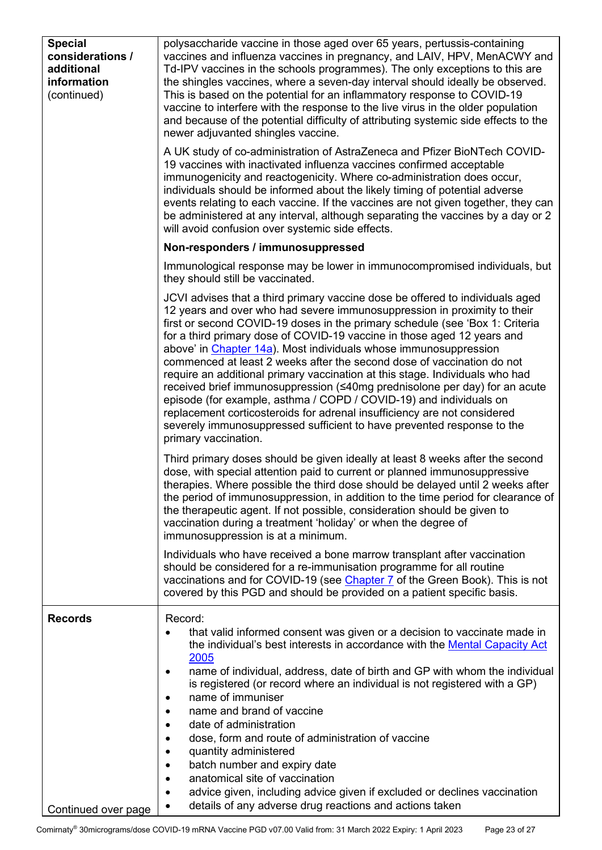<span id="page-22-0"></span>

| <b>Special</b><br>considerations /<br>additional<br>information<br>(continued) | polysaccharide vaccine in those aged over 65 years, pertussis-containing<br>vaccines and influenza vaccines in pregnancy, and LAIV, HPV, MenACWY and<br>Td-IPV vaccines in the schools programmes). The only exceptions to this are<br>the shingles vaccines, where a seven-day interval should ideally be observed.<br>This is based on the potential for an inflammatory response to COVID-19<br>vaccine to interfere with the response to the live virus in the older population<br>and because of the potential difficulty of attributing systemic side effects to the<br>newer adjuvanted shingles vaccine.<br>A UK study of co-administration of AstraZeneca and Pfizer BioNTech COVID-<br>19 vaccines with inactivated influenza vaccines confirmed acceptable<br>immunogenicity and reactogenicity. Where co-administration does occur,<br>individuals should be informed about the likely timing of potential adverse<br>events relating to each vaccine. If the vaccines are not given together, they can<br>be administered at any interval, although separating the vaccines by a day or 2<br>will avoid confusion over systemic side effects. |
|--------------------------------------------------------------------------------|------------------------------------------------------------------------------------------------------------------------------------------------------------------------------------------------------------------------------------------------------------------------------------------------------------------------------------------------------------------------------------------------------------------------------------------------------------------------------------------------------------------------------------------------------------------------------------------------------------------------------------------------------------------------------------------------------------------------------------------------------------------------------------------------------------------------------------------------------------------------------------------------------------------------------------------------------------------------------------------------------------------------------------------------------------------------------------------------------------------------------------------------------------|
|                                                                                | Non-responders / immunosuppressed                                                                                                                                                                                                                                                                                                                                                                                                                                                                                                                                                                                                                                                                                                                                                                                                                                                                                                                                                                                                                                                                                                                          |
|                                                                                | Immunological response may be lower in immunocompromised individuals, but<br>they should still be vaccinated.                                                                                                                                                                                                                                                                                                                                                                                                                                                                                                                                                                                                                                                                                                                                                                                                                                                                                                                                                                                                                                              |
|                                                                                | JCVI advises that a third primary vaccine dose be offered to individuals aged<br>12 years and over who had severe immunosuppression in proximity to their<br>first or second COVID-19 doses in the primary schedule (see 'Box 1: Criteria<br>for a third primary dose of COVID-19 vaccine in those aged 12 years and<br>above' in Chapter 14a). Most individuals whose immunosuppression<br>commenced at least 2 weeks after the second dose of vaccination do not<br>require an additional primary vaccination at this stage. Individuals who had<br>received brief immunosuppression (≤40mg prednisolone per day) for an acute<br>episode (for example, asthma / COPD / COVID-19) and individuals on<br>replacement corticosteroids for adrenal insufficiency are not considered<br>severely immunosuppressed sufficient to have prevented response to the<br>primary vaccination.                                                                                                                                                                                                                                                                       |
|                                                                                | Third primary doses should be given ideally at least 8 weeks after the second<br>dose, with special attention paid to current or planned immunosuppressive<br>therapies. Where possible the third dose should be delayed until 2 weeks after<br>the period of immunosuppression, in addition to the time period for clearance of<br>the therapeutic agent. If not possible, consideration should be given to<br>vaccination during a treatment 'holiday' or when the degree of<br>immunosuppression is at a minimum.                                                                                                                                                                                                                                                                                                                                                                                                                                                                                                                                                                                                                                       |
|                                                                                | Individuals who have received a bone marrow transplant after vaccination<br>should be considered for a re-immunisation programme for all routine<br>vaccinations and for COVID-19 (see <i>Chapter 7</i> of the Green Book). This is not<br>covered by this PGD and should be provided on a patient specific basis.                                                                                                                                                                                                                                                                                                                                                                                                                                                                                                                                                                                                                                                                                                                                                                                                                                         |
| <b>Records</b><br>Continued over page                                          | Record:<br>that valid informed consent was given or a decision to vaccinate made in<br>$\bullet$<br>the individual's best interests in accordance with the Mental Capacity Act<br>2005<br>name of individual, address, date of birth and GP with whom the individual<br>٠<br>is registered (or record where an individual is not registered with a GP)<br>name of immuniser<br>٠<br>name and brand of vaccine<br>date of administration<br>dose, form and route of administration of vaccine<br>quantity administered<br>batch number and expiry date<br>$\bullet$<br>anatomical site of vaccination<br>$\bullet$<br>advice given, including advice given if excluded or declines vaccination<br>٠<br>details of any adverse drug reactions and actions taken<br>$\bullet$                                                                                                                                                                                                                                                                                                                                                                                 |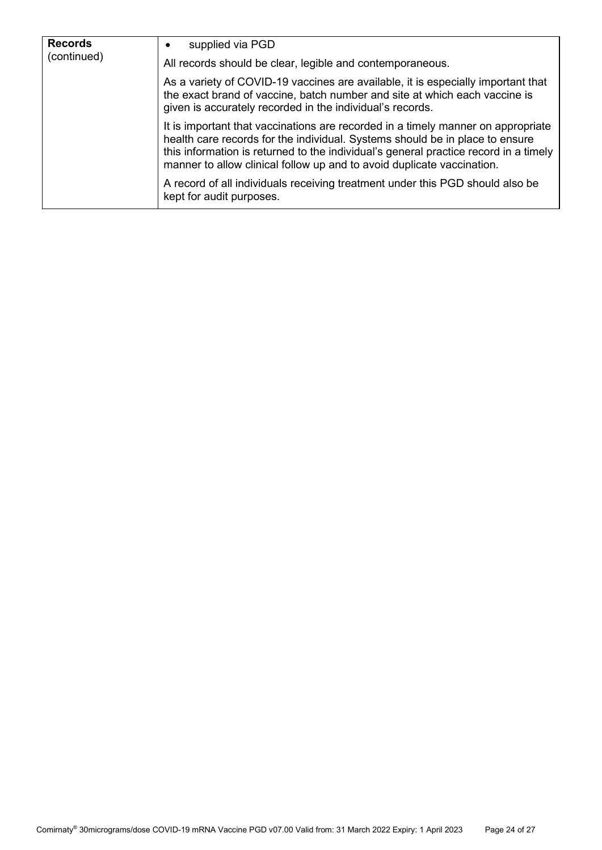| <b>Records</b><br>(continued) | supplied via PGD<br>All records should be clear, legible and contemporaneous.                                                                                                                                                                                                                                                      |
|-------------------------------|------------------------------------------------------------------------------------------------------------------------------------------------------------------------------------------------------------------------------------------------------------------------------------------------------------------------------------|
|                               | As a variety of COVID-19 vaccines are available, it is especially important that<br>the exact brand of vaccine, batch number and site at which each vaccine is<br>given is accurately recorded in the individual's records.                                                                                                        |
|                               | It is important that vaccinations are recorded in a timely manner on appropriate<br>health care records for the individual. Systems should be in place to ensure<br>this information is returned to the individual's general practice record in a timely<br>manner to allow clinical follow up and to avoid duplicate vaccination. |
|                               | A record of all individuals receiving treatment under this PGD should also be<br>kept for audit purposes.                                                                                                                                                                                                                          |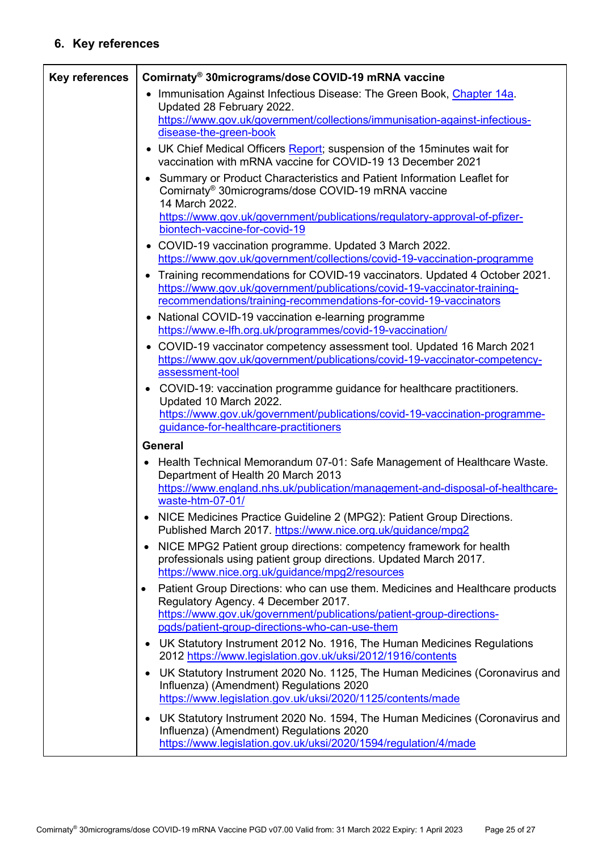# **6. Key references**

<span id="page-24-0"></span>

| <b>Key references</b> | Comirnaty <sup>®</sup> 30micrograms/dose COVID-19 mRNA vaccine                                                                                                                                                                  |  |  |
|-----------------------|---------------------------------------------------------------------------------------------------------------------------------------------------------------------------------------------------------------------------------|--|--|
|                       | • Immunisation Against Infectious Disease: The Green Book, Chapter 14a.<br>Updated 28 February 2022.                                                                                                                            |  |  |
|                       | https://www.gov.uk/government/collections/immunisation-against-infectious-                                                                                                                                                      |  |  |
|                       | disease-the-green-book                                                                                                                                                                                                          |  |  |
|                       | • UK Chief Medical Officers Report; suspension of the 15 minutes wait for<br>vaccination with mRNA vaccine for COVID-19 13 December 2021                                                                                        |  |  |
|                       | • Summary or Product Characteristics and Patient Information Leaflet for<br>Comirnaty <sup>®</sup> 30micrograms/dose COVID-19 mRNA vaccine<br>14 March 2022.                                                                    |  |  |
|                       | https://www.gov.uk/government/publications/regulatory-approval-of-pfizer-<br>biontech-vaccine-for-covid-19                                                                                                                      |  |  |
|                       | • COVID-19 vaccination programme. Updated 3 March 2022.<br>https://www.gov.uk/government/collections/covid-19-vaccination-programme                                                                                             |  |  |
|                       | • Training recommendations for COVID-19 vaccinators. Updated 4 October 2021.<br>https://www.gov.uk/government/publications/covid-19-vaccinator-training-<br>recommendations/training-recommendations-for-covid-19-vaccinators   |  |  |
|                       | • National COVID-19 vaccination e-learning programme<br>https://www.e-lfh.org.uk/programmes/covid-19-vaccination/                                                                                                               |  |  |
|                       | • COVID-19 vaccinator competency assessment tool. Updated 16 March 2021<br>https://www.gov.uk/government/publications/covid-19-vaccinator-competency-<br>assessment-tool                                                        |  |  |
|                       | COVID-19: vaccination programme guidance for healthcare practitioners.<br>$\bullet$<br>Updated 10 March 2022.                                                                                                                   |  |  |
|                       | https://www.gov.uk/government/publications/covid-19-vaccination-programme-<br>guidance-for-healthcare-practitioners                                                                                                             |  |  |
|                       | <b>General</b>                                                                                                                                                                                                                  |  |  |
|                       | Health Technical Memorandum 07-01: Safe Management of Healthcare Waste.<br>$\bullet$<br>Department of Health 20 March 2013<br>https://www.england.nhs.uk/publication/management-and-disposal-of-healthcare-<br>waste-htm-07-01/ |  |  |
|                       | NICE Medicines Practice Guideline 2 (MPG2): Patient Group Directions.<br>Published March 2017. https://www.nice.org.uk/guidance/mpg2                                                                                            |  |  |
|                       | NICE MPG2 Patient group directions: competency framework for health<br>$\bullet$<br>professionals using patient group directions. Updated March 2017.<br>https://www.nice.org.uk/guidance/mpg2/resources                        |  |  |
|                       | Patient Group Directions: who can use them. Medicines and Healthcare products<br>$\bullet$<br>Regulatory Agency. 4 December 2017.<br>https://www.gov.uk/government/publications/patient-group-directions-                       |  |  |
|                       | pgds/patient-group-directions-who-can-use-them                                                                                                                                                                                  |  |  |
|                       | UK Statutory Instrument 2012 No. 1916, The Human Medicines Regulations<br>$\bullet$<br>2012 https://www.legislation.gov.uk/uksi/2012/1916/contents                                                                              |  |  |
|                       | UK Statutory Instrument 2020 No. 1125, The Human Medicines (Coronavirus and<br>$\bullet$<br>Influenza) (Amendment) Regulations 2020<br>https://www.legislation.gov.uk/uksi/2020/1125/contents/made                              |  |  |
|                       | UK Statutory Instrument 2020 No. 1594, The Human Medicines (Coronavirus and<br>٠<br>Influenza) (Amendment) Regulations 2020<br>https://www.legislation.gov.uk/uksi/2020/1594/regulation/4/made                                  |  |  |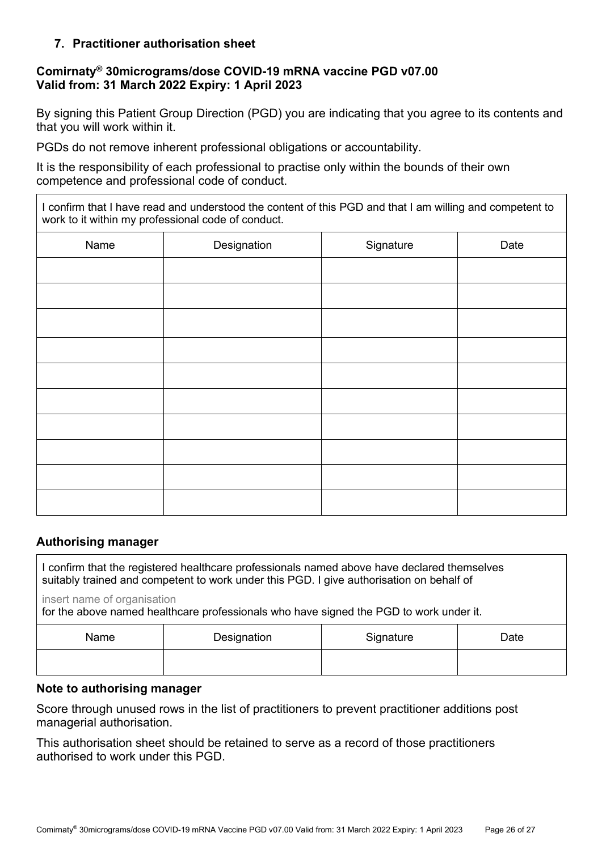### **7. Practitioner authorisation sheet**

### **Comirnaty® 30micrograms/dose COVID-19 mRNA vaccine PGD v07.00 Valid from: 31 March 2022 Expiry: 1 April 2023**

By signing this Patient Group Direction (PGD) you are indicating that you agree to its contents and that you will work within it.

PGDs do not remove inherent professional obligations or accountability.

It is the responsibility of each professional to practise only within the bounds of their own competence and professional code of conduct.

I confirm that I have read and understood the content of this PGD and that I am willing and competent to work to it within my professional code of conduct.

| Name | Designation | Signature | Date |
|------|-------------|-----------|------|
|      |             |           |      |
|      |             |           |      |
|      |             |           |      |
|      |             |           |      |
|      |             |           |      |
|      |             |           |      |
|      |             |           |      |
|      |             |           |      |
|      |             |           |      |
|      |             |           |      |

#### **Authorising manager**

I confirm that the registered healthcare professionals named above have declared themselves suitably trained and competent to work under this PGD. I give authorisation on behalf of

insert name of organisation

for the above named healthcare professionals who have signed the PGD to work under it.

| Name | Designation | Signature | Date |
|------|-------------|-----------|------|
|      |             |           |      |

#### **Note to authorising manager**

Score through unused rows in the list of practitioners to prevent practitioner additions post managerial authorisation.

This authorisation sheet should be retained to serve as a record of those practitioners authorised to work under this PGD.